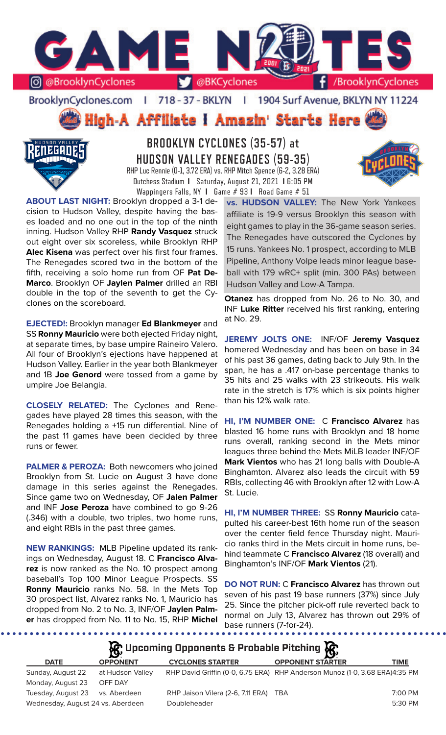

BrooklynCyclones.com | 718 - 37 - BKLYN | 1904 Surf Avenue, BKLYN NY 11224

High-A Affiliate I Amazin' Starts Here



**BROOKLYN CYCLONES (35-57) at HUDSON VALLEY RENEGADES (59-35)** RHP Luc Rennie (0-1, 3.72 ERA) vs. RHP Mitch Spence (6-2, 3.28 ERA) Dutchess Stadium **I** Saturday, August 21, 2021 **I** 6:05 PM Wappingers Falls, NY **I** Game # 93 **I** Road Game # 51

**ABOUT LAST NIGHT:** Brooklyn dropped a 3-1 decision to Hudson Valley, despite having the bases loaded and no one out in the top of the ninth inning. Hudson Valley RHP **Randy Vasquez** struck out eight over six scoreless, while Brooklyn RHP **Alec Kisena** was perfect over his first four frames. The Renegades scored two in the bottom of the fifth, receiving a solo home run from OF **Pat De-Marco**. Brooklyn OF **Jaylen Palmer** drilled an RBI double in the top of the seventh to get the Cyclones on the scoreboard.

**EJECTED!:** Brooklyn manager **Ed Blankmeyer** and SS **Ronny Mauricio** were both ejected Friday night, at separate times, by base umpire Raineiro Valero. All four of Brooklyn's ejections have happened at Hudson Valley. Earlier in the year both Blankmeyer and 1B **Joe Genord** were tossed from a game by umpire Joe Belangia.

**CLOSELY RELATED:** The Cyclones and Renegades have played 28 times this season, with the Renegades holding a +15 run differential. Nine of the past 11 games have been decided by three runs or fewer.

**PALMER & PEROZA:** Both newcomers who joined Brooklyn from St. Lucie on August 3 have done damage in this series against the Renegades. Since game two on Wednesday, OF **Jalen Palmer**  and INF **Jose Peroza** have combined to go 9-26 (.346) with a double, two triples, two home runs, and eight RBIs in the past three games.

**NEW RANKINGS:** MLB Pipeline updated its rankings on Wednesday, August 18. C **Francisco Alvarez** is now ranked as the No. 10 prospect among baseball's Top 100 Minor League Prospects. SS **Ronny Mauricio** ranks No. 58. In the Mets Top 30 prospect list, Alvarez ranks No. 1, Mauricio has dropped from No. 2 to No. 3, INF/OF **Jaylen Palmer** has dropped from No. 11 to No. 15, RHP **Michel** 

**vs. HUDSON VALLEY:** The New York Yankees affiliate is 19-9 versus Brooklyn this season with eight games to play in the 36-game season series. The Renegades have outscored the Cyclones by 15 runs. Yankees No. 1 prospect, according to MLB Pipeline, Anthony Volpe leads minor league baseball with 179 wRC+ split (min. 300 PAs) between Hudson Valley and Low-A Tampa.

**Otanez** has dropped from No. 26 to No. 30, and INF **Luke Ritter** received his first ranking, entering at No. 29.

**JEREMY JOLTS ONE:** INF/OF **Jeremy Vasquez**  homered Wednesday and has been on base in 34 of his past 36 games, dating back to July 9th. In the span, he has a .417 on-base percentage thanks to 35 hits and 25 walks with 23 strikeouts. His walk rate in the stretch is 17% which is six points higher than his 12% walk rate.

**HI, I'M NUMBER ONE:** C **Francisco Alvarez** has blasted 16 home runs with Brooklyn and 18 home runs overall, ranking second in the Mets minor leagues three behind the Mets MiLB leader INF/OF **Mark Vientos** who has 21 long balls with Double-A Binghamton. Alvarez also leads the circuit with 59 RBIs, collecting 46 with Brooklyn after 12 with Low-A St. Lucie.

**HI, I'M NUMBER THREE:** SS **Ronny Mauricio** catapulted his career-best 16th home run of the season over the center field fence Thursday night. Mauricio ranks third in the Mets circuit in home runs, behind teammate C **Francisco Alvarez** (18 overall) and Binghamton's INF/OF **Mark Vientos** (21).

**DO NOT RUN:** C **Francisco Alvarez** has thrown out seven of his past 19 base runners (37%) since July 25. Since the pitcher pick-off rule reverted back to normal on July 13, Alvarez has thrown out 29% of base runners (7-for-24).

## **Upcoming Opponents & Probable Pitching**

| <b>DATE</b>                       | <b>OPPONENT</b>  | <b>CYCLONES STARTER</b>               | <b>OPPONENT STARTER</b>                                                     | <b>TIME</b> |
|-----------------------------------|------------------|---------------------------------------|-----------------------------------------------------------------------------|-------------|
| Sunday, August 22                 | at Hudson Valley |                                       | RHP David Griffin (0-0, 6.75 ERA) RHP Anderson Munoz (1-0, 3.68 ERA)4:35 PM |             |
| Monday, August 23                 | OFF DAY          |                                       |                                                                             |             |
| Tuesday, August 23 vs. Aberdeen   |                  | RHP Jaison Vilera (2-6, 7.11 ERA) TBA |                                                                             | 7:00 PM     |
| Wednesday, August 24 vs. Aberdeen |                  | Doubleheader                          |                                                                             | 5:30 PM     |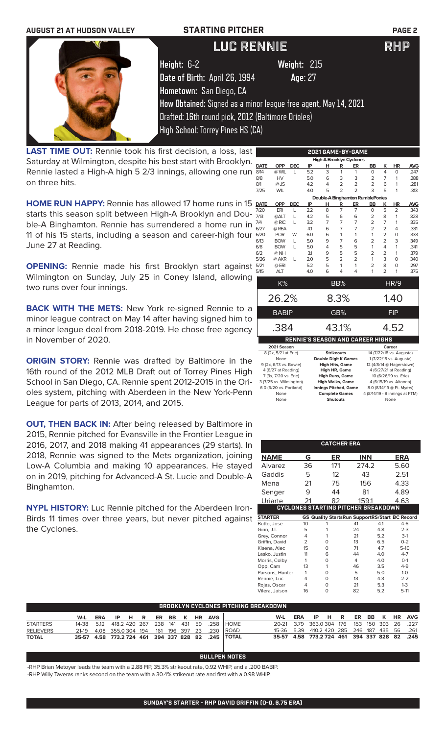

**LAST TIME OUT:** Rennie took his first decision, a loss, last Saturday at Wilmington, despite his best start with Brooklyn. Rennie lasted a High-A high 5 2/3 innings, allowing one run on three hits.

**HOME RUN HAPPY:** Rennie has allowed 17 home runs in 15 starts this season split between High-A Brooklyn and Double-A Binghamton. Rennie has surrendered a home run in 11 of his 15 starts, including a season and career-high four June 27 at Reading.

**OPENING:** Rennie made his first Brooklyn start against Wilmington on Sunday, July 25 in Coney Island, allowing two runs over four innings.

**BACK WITH THE METS:** New York re-signed Rennie to a minor league contract on May 14 after having signed him to a minor league deal from 2018-2019. He chose free agency in November of 2020.

**ORIGIN STORY:** Rennie was drafted by Baltimore in the 16th round of the 2012 MLB Draft out of Torrey Pines High School in San Diego, CA. Rennie spent 2012-2015 in the Orioles system, pitching with Aberdeen in the New York-Penn League for parts of 2013, 2014, and 2015.

**OUT, THEN BACK IN:** After being released by Baltimore in 2015, Rennie pitched for Evansville in the Frontier League in 2016, 2017, and 2018 making 41 appearances (29 starts). In 2018, Rennie was signed to the Mets organization, joining Low-A Columbia and making 10 appearances. He stayed on in 2019, pitching for Advanced-A St. Lucie and Double-A Binghamton.

**NYPL HISTORY:** Luc Rennie pitched for the Aberdeen Iron-Birds 11 times over three years, but never pitched against the Cyclones.

|             |                     |              |                                         |   |                   | 2021 GAME-BY-GAME                |                |                |                         |            |  |  |
|-------------|---------------------|--------------|-----------------------------------------|---|-------------------|----------------------------------|----------------|----------------|-------------------------|------------|--|--|
|             |                     |              |                                         |   |                   | <b>High-A Brooklyn Cyclones</b>  |                |                |                         |            |  |  |
| <b>DATE</b> | <b>OPP</b>          | <b>DEC</b>   | IP                                      | н | R                 | ER                               | <b>BB</b>      | κ              | HR                      | <b>AVG</b> |  |  |
| 8/14        | @ WIL               | L            | 5.2                                     | 3 | 1                 | 1                                | 0              | $\overline{4}$ | $\Omega$                | .247       |  |  |
| 8/8         | <b>HV</b>           |              | 5.0                                     | 6 | 3                 | 3                                | $\overline{2}$ | $\overline{7}$ | 1                       | .288       |  |  |
| 8/1         | $@$ JS              |              | 4.2                                     | 4 | $\overline{2}$    | $\overline{2}$                   | $\overline{2}$ | 6              | 1                       | .281       |  |  |
| 7/25        | <b>WIL</b>          |              | 4.0                                     | 5 | $\overline{2}$    | $\overline{2}$                   | 3              | 5              | 1                       | .313       |  |  |
|             |                     |              |                                         |   |                   | Double-A Binghamton RumblePonies |                |                |                         |            |  |  |
| <b>DATE</b> | <b>OPP</b>          | <b>DEC</b>   | IP                                      | н | R                 | ER                               | <b>BB</b>      | ĸ              | <b>HR</b>               | <b>AVG</b> |  |  |
| 7/20        | ERI                 | L            | 2.2                                     | 8 | $\overline{7}$    | $\overline{7}$                   | $\Omega$       | 5              | 2                       | .343       |  |  |
| 7/13        | @ALT                | L            | 4.2                                     | 5 | 6                 | 6                                | $\overline{2}$ | 8              | 1                       | .328       |  |  |
| 7/4         | @ RIC               | L            | 3.2                                     | 7 | $\overline{7}$    | $\overline{7}$                   | $\overline{2}$ | 7              | 1                       | .335       |  |  |
| 6/27        | @ REA               |              | 41                                      | 6 | 7                 | 7                                | $\overline{2}$ | $\overline{2}$ | 4                       | .331       |  |  |
| 6/20        | <b>POR</b>          | W            | 6.0                                     | 6 | 1                 | 1                                | 1              | $\overline{2}$ | $\Omega$                | .333       |  |  |
| 6/13        | <b>BOW</b>          | L            | 5.0                                     | 9 | 7                 | 6                                | $\overline{2}$ | $\overline{2}$ | 3                       | .349       |  |  |
| 6/8         | <b>BOW</b>          | L            | 5.0                                     | 4 | 5                 | 5                                | 1              | 4              | 1                       | .341       |  |  |
| 6/2         | @ NH                |              | 3.1                                     | 9 | 5                 | 5                                | $\overline{2}$ | $\overline{2}$ | 1                       | .379       |  |  |
| 5/26        | @ AKR               | $\mathbf{L}$ | 2.0                                     | 5 | $\overline{2}$    | $\overline{2}$                   | 1              | 3              | $\Omega$                | .340       |  |  |
| 5/21        | @ ERI               |              | 5.2                                     | 5 | 1                 | 1                                | $\overline{2}$ | 8              | $\Omega$                | .297       |  |  |
| 5/15        | <b>ALT</b>          |              | 4.0                                     | 6 | 4                 | 4                                | 1              | $\overline{2}$ | 1                       | .375       |  |  |
|             | K%                  |              |                                         |   | BB%               |                                  |                |                | HR/9                    |            |  |  |
|             |                     |              |                                         |   |                   |                                  |                |                |                         |            |  |  |
|             | 26.2%               |              |                                         |   | 8.3%              |                                  |                |                | 1.40                    |            |  |  |
|             | <b>BABIP</b>        |              |                                         |   | GB%               |                                  | <b>FIP</b>     |                |                         |            |  |  |
|             | .384                |              |                                         |   | 43.1%             |                                  |                |                | 4.52                    |            |  |  |
|             |                     |              | <b>RENNIE'S SEASON AND CAREER HIGHS</b> |   |                   |                                  |                |                |                         |            |  |  |
|             | 2021 Season         |              |                                         |   |                   |                                  |                |                | Career                  |            |  |  |
|             | 8 (2x 5/21 at Frie) |              |                                         |   | <b>Strikeouts</b> |                                  |                |                | 14 (7/22/18 ys Augusta) |            |  |  |

| 8 (2x, 5/21 at Erie)    | <b>Strikeouts</b>            | 14 (7/22/18 vs. Augusta)       |
|-------------------------|------------------------------|--------------------------------|
| None                    | <b>Double Digit K Games</b>  | 1 (7/22/18 vs. Augusta)        |
| 9 (2x, 6/13 vs. Bowie)  | <b>High Hits, Game</b>       | 12 (4/8/14 @ Hagerstown)       |
| 4 (6/27 at Reading)     | <b>High HR, Game</b>         | 4 (6/27/21 at Reading)         |
| 7 (3x, 7/20 vs. Erie)   | <b>High Runs, Game</b>       | 10 (6/26/19 vs. Erie)          |
| 3 (7/25 vs. Wilmington) | <b>High Walks, Game</b>      | 4 (6/15/19 vs. Altoona)        |
| 6.0 (6/20 vs. Portland) | <b>Innings Pitched, Game</b> | 8.0 (8/14/19 @ Ft. Myers)      |
| None                    | <b>Complete Games</b>        | 4 (8/14/19 - 8 innings at FTM) |
| None                    | <b>Shutouts</b>              | None                           |

|                 |                | <b>CATCHER ERA</b>                         |       |     |                                                       |
|-----------------|----------------|--------------------------------------------|-------|-----|-------------------------------------------------------|
| NAME            | G              | ER                                         | INN   |     | ERA                                                   |
| Alvarez         | 36             | 171                                        | 274.2 |     | 5.60                                                  |
| Gaddis          | 5              | 12                                         | 43    |     | 2.51                                                  |
| Mena            | 21             | 75                                         | 156   |     | 4.33                                                  |
| Senger          | 9              | 44                                         | 81    |     | 4.89                                                  |
| Uriarte         |                | 82                                         | 159.1 |     | 4.63                                                  |
|                 |                | <b>CYCLONES STARTING PITCHER BREAKDOWN</b> |       |     |                                                       |
| <b>STARTER</b>  |                |                                            |       |     | <b>GS Quality StartsRun SupportRS/Start BC Record</b> |
| Butto, Jose     | 10             |                                            | 41    | 4.1 | $4 - 6$                                               |
| Ginn, J.T.      | 5              | 1                                          | 24    | 4.8 | $2 - 3$                                               |
| Grey, Connor    | 4              | 1                                          | 21    | 5.2 | $3-1$                                                 |
| Griffin, David  | $\overline{2}$ | O                                          | 13    | 6.5 | $0 - 2$                                               |
| Kisena, Alec    | 15             | O                                          | 71    | 4.7 | $5-10$                                                |
| Lasko, Justin   | 11             | 6                                          | 44    | 4.0 | $4 - 7$                                               |
| Morris, Colby   | 1              | O                                          | 4     | 4.0 | $O-1$                                                 |
| Opp, Cam        | 13             | 1                                          | 46    | 3.5 | $4 - 9$                                               |
| Parsons, Hunter | 1              | O                                          | 5     | 5.0 | $1 - 0$                                               |
| Rennie, Luc     | 4              | O                                          | 13    | 4.3 | $2 - 2$                                               |
| Rojas, Oscar    | 4              | O                                          | 21    | 5.3 | $1 - 3$                                               |
| Vilera, Jaison  | 16             | O                                          | 82    | 5.2 | $5-11$                                                |

|                  | BROOKLYN CYCLONES PITCHING BREAKDOWN |  |  |  |  |  |  |  |  |                               |                                                             |                                              |                               |  |  |  |  |  |  |
|------------------|--------------------------------------|--|--|--|--|--|--|--|--|-------------------------------|-------------------------------------------------------------|----------------------------------------------|-------------------------------|--|--|--|--|--|--|
|                  |                                      |  |  |  |  |  |  |  |  | W-L ERA IP H R ER BB K HR AVG |                                                             |                                              | W-L ERA IP H R ER BB K HR AVG |  |  |  |  |  |  |
| <b>STARTERS</b>  |                                      |  |  |  |  |  |  |  |  |                               | 14-38  5.12  418.2  420  267  238  141  431  59  .258  HOME | 20-21 3.79 363.0 304 176 153 150 393 26 .227 |                               |  |  |  |  |  |  |
| <b>RELIEVERS</b> |                                      |  |  |  |  |  |  |  |  |                               | 21-19  4.08  355.0  304  194  161  196  397  23  .230  ROAD | 15-36 5.39 410.2 420 285 246 187 435 56 .261 |                               |  |  |  |  |  |  |
| <b>TOTAL</b>     |                                      |  |  |  |  |  |  |  |  |                               | 35-57 4.58 773.2 724 461 394 337 828 82 .245 TOTAL          | 35-57 4.58 773.2 724 461 394 337 828 82 .245 |                               |  |  |  |  |  |  |

### **BULLPEN NOTES**

-RHP Brian Metoyer leads the team with a 2.88 FIP, 35.3% strikeout rate, 0.92 WHIP, and a .200 BABIP. -RHP Willy Taveras ranks second on the team with a 30.4% strikeout rate and first with a 0.98 WHIP.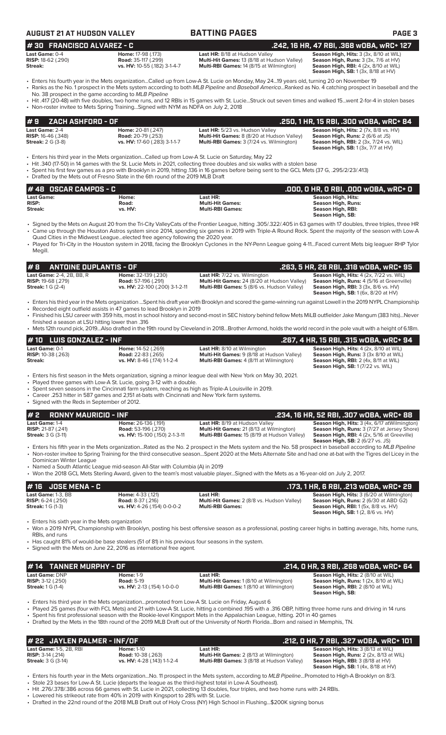|                                                                                      | <b>AUGUST 21 AT HUDSON VALLEY</b>                                                                                                                                                                                                                                               | <b>BATTING PAGES</b>                                                                                                                                                                                                                                                                                                                                                                                                                                                                         | PAGE <sub>3</sub>                                                                                                                                                                                                                                                                                                                                         |
|--------------------------------------------------------------------------------------|---------------------------------------------------------------------------------------------------------------------------------------------------------------------------------------------------------------------------------------------------------------------------------|----------------------------------------------------------------------------------------------------------------------------------------------------------------------------------------------------------------------------------------------------------------------------------------------------------------------------------------------------------------------------------------------------------------------------------------------------------------------------------------------|-----------------------------------------------------------------------------------------------------------------------------------------------------------------------------------------------------------------------------------------------------------------------------------------------------------------------------------------------------------|
| #30 FRANCISCO ALVAREZ - C                                                            |                                                                                                                                                                                                                                                                                 |                                                                                                                                                                                                                                                                                                                                                                                                                                                                                              | .242, 16 HR, 47 RBI, .368 wOBA, wRC+ 127                                                                                                                                                                                                                                                                                                                  |
| Last Game: 0-4<br>RISP: 18-62 (.290)<br>Streak:                                      | Home: 17-98 (.173)<br><b>Road: 35-117 (.299)</b><br>vs. HV: 10-55 (.182) 3-1-4-7                                                                                                                                                                                                | Last HR: 8/18 at Hudson Valley<br>Multi-Hit Games: 13 (8/18 at Hudson Valley)<br>Multi-RBI Games: 14 (8/15 at Wilmington)                                                                                                                                                                                                                                                                                                                                                                    | Season High, Hits: 3 (3x, 8/10 at WIL)<br>Season High, Runs: 3 (3x, 7/6 at HV)<br>Season High, RBI: 4 (2x, 8/10 at WIL)<br><b>Season High, SB: 1 (3x, 8/18 at HV)</b>                                                                                                                                                                                     |
|                                                                                      | No. 38 prospect in the game according to MLB Pipeline                                                                                                                                                                                                                           | • Enters his fourth year in the Mets organizationCalled up from Low-A St. Lucie on Monday, May 2419 years old, turning 20 on November 19<br>· Ranks as the No. 1 prospect in the Mets system according to both MLB Pipeline and Baseball AmericaRanked as No. 4 catching prospect in baseball and the<br>• Hit .417 (20-48) with five doubles, two home runs, and 12 RBIs in 15 games with St. LucieStruck out seven times and walked 15went 2-for-4 in stolen bases                         |                                                                                                                                                                                                                                                                                                                                                           |
|                                                                                      | • Non-roster invitee to Mets Spring TrainingSigned with NYM as NDFA on July 2, 2018                                                                                                                                                                                             |                                                                                                                                                                                                                                                                                                                                                                                                                                                                                              |                                                                                                                                                                                                                                                                                                                                                           |
| ZACH ASHFORD - OF<br>#9                                                              |                                                                                                                                                                                                                                                                                 |                                                                                                                                                                                                                                                                                                                                                                                                                                                                                              | .250, 1 HR, 15 RBI, .300 w0BA, wRC+ 84                                                                                                                                                                                                                                                                                                                    |
| Last Game: 2-4<br><b>RISP:</b> 16-46 (.348)<br><b>Streak: 2 G (3-8)</b>              | Home: 20-81 (.247)<br><b>Road:</b> 20-79 (.253)<br>vs. HV: 17-60 (.283) 3-1-1-7                                                                                                                                                                                                 | Last HR: 5/23 vs. Hudson Valley<br>Multi-Hit Games: 8 (8/20 at Hudson Valley)<br>Multi-RBI Games: 3 (7/24 vs. Wilmington)                                                                                                                                                                                                                                                                                                                                                                    | Season High, Hits: 2 (7x, 8/8 vs. HV)<br>Season High, Runs: 2 (6/6 at JS)<br>Season High, RBI: 2 (3x, 7/24 vs. WIL)<br><b>Season High, SB: 1 (3x, 7/7 at HV)</b>                                                                                                                                                                                          |
|                                                                                      | Enters his third year in the Mets organizationCalled up from Low-A St. Lucie on Saturday, May 22<br>• Drafted by the Mets out of Fresno State in the 6th round of the 2019 MLB Draft                                                                                            | • Hit .340 (17-50) in 14 games with the St. Lucie Mets in 2021, collecting three doubles and six walks with a stolen base<br>• Spent his first few games as a pro with Brooklyn in 2019, hitting .136 in 16 games before being sent to the GCL Mets (37 G, .295/2/23/.413)                                                                                                                                                                                                                   |                                                                                                                                                                                                                                                                                                                                                           |
| #48 OSCAR CAMPOS - C                                                                 |                                                                                                                                                                                                                                                                                 |                                                                                                                                                                                                                                                                                                                                                                                                                                                                                              | .000, 0 HR, 0 RBI, .000 WOBA, WRC+ 0                                                                                                                                                                                                                                                                                                                      |
| <b>Last Game:</b><br><b>RISP:</b><br>Streak:                                         | Home:<br>Road:<br>vs. HV:                                                                                                                                                                                                                                                       | Last HR:<br><b>Multi-Hit Games:</b><br><b>Multi-RBI Games:</b>                                                                                                                                                                                                                                                                                                                                                                                                                               | <b>Season High, Hits:</b><br><b>Season High, Runs:</b><br>Season High, RBI:<br>Season High, SB:                                                                                                                                                                                                                                                           |
| Megill.                                                                              | Quad Cities in the Midwest Leagueelected free agency following the 2020 year.                                                                                                                                                                                                   | · Signed by the Mets on August 20 from the Tri-City ValleyCats of the Frontier League, hitting .305/.322/.405 in 63 games with 17 doubles, three triples, three HR<br>• Came up through the Houston Astros system since 2014, spending six games in 2019 with Triple-A Round Rock. Spent the majority of the season with Low-A<br>• Played for Tri-City in the Houston system in 2018, facing the Brooklyn Cyclones in the NY-Penn League going 4-11Faced current Mets big leaguer RHP Tylor |                                                                                                                                                                                                                                                                                                                                                           |
| #B                                                                                   | <b>ANTOINE DUPLANTIS - OF</b>                                                                                                                                                                                                                                                   |                                                                                                                                                                                                                                                                                                                                                                                                                                                                                              | .263, 5 HR, 28 RBI, .318 wOBA, wRC+ 95                                                                                                                                                                                                                                                                                                                    |
| Last Game: 2-4, 2B, BB, R<br>RISP: 19-68 (.279)<br><b>Streak:</b> 1 G (2-4)          | Home: 32-139 (.230)<br>Road: 57-196 (.291)<br>vs. HV: 22-100 (.200) 3-1-2-11                                                                                                                                                                                                    | Last HR: 7/22 vs. Wilmington<br>Multi-Hit Games: 24 (8/20 at Hudson Valley)<br>Multi-RBI Games: 5 (8/6 vs. Hudson Valley)                                                                                                                                                                                                                                                                                                                                                                    | Season High, Hits: 4 (2x, 7/22 vs, WIL)<br>Season High, Runs: 4 (5/16 at Greenville)<br>Season High, RBI: 3 (3x, 8/6 vs. HV)<br><b>Season High, SB:</b> 1 (6x, 8/20 at HV)                                                                                                                                                                                |
|                                                                                      |                                                                                                                                                                                                                                                                                 |                                                                                                                                                                                                                                                                                                                                                                                                                                                                                              |                                                                                                                                                                                                                                                                                                                                                           |
| 16. finished a season at LSU hitting lower than                                      | • Recorded eight outfield assists in 47 games to lead Brooklyn in 2019                                                                                                                                                                                                          | · Finished his LSU career with 359 hits, most in school history and second-most in SEC history behind fellow Mets MiLB outfielder Jake Mangum (383 hits)Never<br>• Mets 12th round pick, 2019Also drafted in the 19th round by Cleveland in 2018Brother Armond, holds the world record in the pole vault with a height of 6.18m.                                                                                                                                                             |                                                                                                                                                                                                                                                                                                                                                           |
| <b>LUIS GONZALEZ - INF</b><br>#10<br>Last Game: 0-1<br>RISP: 10-38 (.263)<br>Streak: | Home: 14-52 (.269)<br><b>Road:</b> 22-83 (.265)<br>vs. HV: 8-46 (.174) 1-1-2-4                                                                                                                                                                                                  | Last HR: 8/10 at Wilmington<br>Multi-Hit Games: 9 (8/18 at Hudson Valley)<br><b>Multi-RBI Games:</b> 4 (8/11 at Wilmington)                                                                                                                                                                                                                                                                                                                                                                  | .267, 4 HR, 15 RBI, .315 wOBA, wRC+ 94<br>Season High, Hits: 4 (2x, 8/10 at WIL)<br>Season High, Runs: 3 (3x 8/10 at WIL)<br>Season High, RBI: 2 (4x, 8/11 at WIL)<br><b>Season High, SB: 1 (7/22 vs. WIL)</b>                                                                                                                                            |
| • Signed with the Reds in September of 2012.                                         | • Played three games with Low-A St. Lucie, going 3-12 with a double.<br>• Spent seven seasons in the Cincinnati farm system, reaching as high as Triple-A Louisville in 2019.<br>• Career .253 hitter in 587 games and 2,151 at-bats with Cincinnati and New York farm systems. | • Enters his first season in the Mets organization, signing a minor league deal with New York on May 30, 2021.                                                                                                                                                                                                                                                                                                                                                                               |                                                                                                                                                                                                                                                                                                                                                           |
| #2<br><b>RONNY MAURICIO - INF</b>                                                    |                                                                                                                                                                                                                                                                                 |                                                                                                                                                                                                                                                                                                                                                                                                                                                                                              | .234, 16 HR, 52 RBI, .307 w0BA, wRC+ 88                                                                                                                                                                                                                                                                                                                   |
| Last Game: 1-4<br>RISP: 21-87 (.241)<br><b>Streak: 3 G (3-11)</b>                    | Home: 26-136 (.191)<br><b>Road:</b> 53-196 (.270)<br>vs. HV: 15-100 (.150) 2-1-3-11                                                                                                                                                                                             | Last HR: 8/19 at Hudson Valley<br>Multi-Hit Games: 21 (8/13 at Wilmington)<br>Multi-RBI Games: 15 (8/19 at Hudson Valley)                                                                                                                                                                                                                                                                                                                                                                    | · Enters his third year in the Mets organization Spent his draft year with Brooklyn and scored the game-winning run against Lowell in the 2019 NYPL Championship<br>Season High, Hits: 3 (4x, 6/17 atWilmington)<br>Season High, Runs: 3 (7/27 at Jersey Shore)<br>Season High, RBI: 4 (2x, 5/16 at Greeville)<br><b>Season High, SB:</b> 2 (6/27 vs. JS) |
| Dominican Winter League                                                              |                                                                                                                                                                                                                                                                                 | • Enters his fifth year in the Mets organizationRated as the No. 2 prospect in the Mets system and the No. 58 prospect in baseball according to MLB Pipeline<br>• Non-roster invitee to Spring Training for the third consecutive seasonSpent 2020 at the Mets Alternate Site and had one at-bat with the Tigres del Licey in the                                                                                                                                                            |                                                                                                                                                                                                                                                                                                                                                           |
|                                                                                      | • Named a South Atlantic League mid-season All-Star with Columbia (A) in 2019                                                                                                                                                                                                   | • Won the 2018 GCL Mets Sterling Award, given to the team's most valuable playerSigned with the Mets as a 16-year-old on July 2, 2017.                                                                                                                                                                                                                                                                                                                                                       |                                                                                                                                                                                                                                                                                                                                                           |
| <b>JOSE MENA - C</b><br>#16                                                          |                                                                                                                                                                                                                                                                                 |                                                                                                                                                                                                                                                                                                                                                                                                                                                                                              | .173, 1 HR, 6 RBI, .213 wOBA, wRC+ 29                                                                                                                                                                                                                                                                                                                     |
| Last Game: 1-3, BB<br><b>RISP:</b> $6-24$ (.250)<br><b>Streak:</b> 1 G (1-3)         | Home: 4-33 (.121)<br><b>Road: 8-37 (.216)</b><br>vs. HV: 4-26 (.154) 0-0-0-2                                                                                                                                                                                                    | Last HR:<br>Multi-Hit Games: 2 (8/8 vs. Hudson Valley)<br><b>Multi-RBI Games:</b>                                                                                                                                                                                                                                                                                                                                                                                                            | Season High, Hits: 3 (6/20 at Wilmington)<br>Season High, Runs: 2 (6/30 at ABD G2)<br>Season High, RBI: 1 (5x, 8/8 vs. HV)<br><b>Season High, SB:</b> 1(2, 8/6 vs. HV)                                                                                                                                                                                    |
| • Enters his sixth year in the Mets organization<br>RBIs, and runs                   |                                                                                                                                                                                                                                                                                 | • Won a 2019 NYPL Championship with Brooklyn, posting his best offensive season as a professional, posting career highs in batting average, hits, home runs,                                                                                                                                                                                                                                                                                                                                 |                                                                                                                                                                                                                                                                                                                                                           |
|                                                                                      | • Has caught 81% of would-be base stealers (51 of 81) in his previous four seasons in the system.<br>• Signed with the Mets on June 22, 2016 as international free agent.                                                                                                       |                                                                                                                                                                                                                                                                                                                                                                                                                                                                                              |                                                                                                                                                                                                                                                                                                                                                           |
| <b>TANNER MURPHY - OF</b><br># 14                                                    |                                                                                                                                                                                                                                                                                 |                                                                                                                                                                                                                                                                                                                                                                                                                                                                                              | .214, 0 HR, 3 RBI, .268 WOBA, WRC+ 64                                                                                                                                                                                                                                                                                                                     |

**# 22 JAYLEN PALMER - INF/OF .212, 0 HR, 7 RBI, .327 wOBA, wRC+ 101 Last HR: Mathers:** 2 (8/13 at Wilmington **Mathems:** 2 (8/13 at Wilmington) **RISP:** 3-14 (.214) **Road:** 10-38 (.263) **Multi-Hit Games:** 2 (8/13 at Wilmington) **Season High, Runs:** 2 (2x, 8/13 at WIL) **Streak:**  $3 G (3-14)$  **vs. HV:**  $4-28 (143) 1-1-2-4$  **Multi-RBI Games:**  $3 (8/18$  at Hudson Valley) **Season High, SB:** 1 (4x, 8/18 at HV)

• Enters his fourth year in the Mets organization...No. 11 prospect in the Mets system, according to *MLB Pipeline*...Promoted to High-A Brooklyn on 8/3. • Stole 23 bases for Low-A St. Lucie (departs the league as the third-highest total in Low-A Southeast).

• Hit .276/.378/.386 across 66 games with St. Lucie in 2021, collecting 13 doubles, four triples, and two home runs with 24 RBIs.

• Lowered his strikeout rate from 40% in 2019 with Kingsport to 28% with St. Lucie.

• Drafted in the 22nd round of the 2018 MLB Draft out of Holy Cross (NY) High School in Flushing...\$200K signing bonus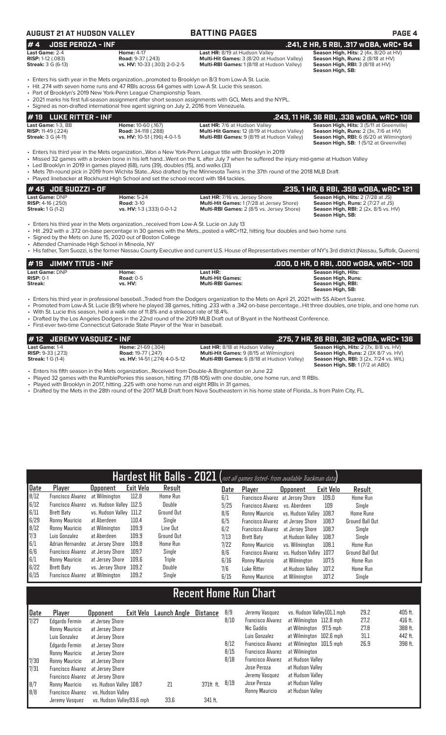| <b>AUGUST 21 AT HUDSON VALLEY</b>                                      |                                                                                                                                                                                                                                                                                                                                                                     | <b>BATTING PAGES</b>                                                                                                                                                                                                                                                                                                                                                          | <b>PAGE 4</b>                                                                                                                                                           |
|------------------------------------------------------------------------|---------------------------------------------------------------------------------------------------------------------------------------------------------------------------------------------------------------------------------------------------------------------------------------------------------------------------------------------------------------------|-------------------------------------------------------------------------------------------------------------------------------------------------------------------------------------------------------------------------------------------------------------------------------------------------------------------------------------------------------------------------------|-------------------------------------------------------------------------------------------------------------------------------------------------------------------------|
| #4<br><b>JOSE PEROZA - INF</b>                                         |                                                                                                                                                                                                                                                                                                                                                                     |                                                                                                                                                                                                                                                                                                                                                                               | .241, 2 HR, 5 RBI, .317 WOBA, WRC+ 94                                                                                                                                   |
| Last Game: 2-4<br>RISP: 1-12 (.083)<br><b>Streak:</b> 3 G (6-13)       | <b>Home: 4-17</b><br><b>Road: 9-37 (.243)</b><br>vs. HV: 10-33 (.303) 2-0-2-5                                                                                                                                                                                                                                                                                       | Last HR: 8/19 at Hudson Valley<br>Multi-Hit Games: 3 (8/20 at Hudson Valley)<br>Multi-RBI Games: 1 (8/18 at Hudson Valley)                                                                                                                                                                                                                                                    | Season High, Hits: 2 (4x, 8/20 at HV)<br>Season High, Runs: 2 (8/18 at HV)<br>Season High, RBI: 3 (8/18 at HV)<br>Season High, SB:                                      |
|                                                                        | • Enters his sixth year in the Mets organizationpromoted to Brooklyn on 8/3 from Low-A St. Lucie.<br>• Hit .274 with seven home runs and 47 RBIs across 64 games with Low-A St. Lucie this season.<br>• Part of Brooklyn's 2019 New York-Penn League Championship Team.<br>• Signed as non-drafted international free agent signing on July 2, 2016 from Venezuela. | • 2021 marks his first full-season assignment after short season assignments with GCL Mets and the NYPL.                                                                                                                                                                                                                                                                      |                                                                                                                                                                         |
| <b>LUKE RITTER - INF</b><br>#19                                        |                                                                                                                                                                                                                                                                                                                                                                     |                                                                                                                                                                                                                                                                                                                                                                               | .243, 11 HR, 36 RBI, .338 WOBA, WRC+ 108                                                                                                                                |
| Last Game: 1-3, BB<br>RISP: 11-49 (.224)<br><b>Streak:</b> 3 G (4-11)  | Home: 10-60 (.167)<br>Road: 34-118 (.288)<br>vs. HV: 10-51 (.196) 4-0-1-5                                                                                                                                                                                                                                                                                           | Last HR: 7/6 at Hudson Valley<br>Multi-Hit Games: 12 (8/19 at Hudson Valley)<br>Multi-RBI Games: 9 (8/19 at Hudson Valley)                                                                                                                                                                                                                                                    | Season High, Hits: 3 (5/11 at Greenville)<br>Season High, Runs: 2 (3x, 7/6 at HV)<br>Season High, RBI: 6 (6/20 at Wilmington)<br>Season High, SB: 1(5/12 at Greenville) |
|                                                                        | • Led Brooklyn in 2019 in games played (68), runs (39), doubles (15), and walks (33)<br>• Played linebacker at Rockhurst High School and set the school record with 184 tackles.                                                                                                                                                                                    | Enters his third year in the Mets organizationWon a New York-Penn League title with Brooklyn in 2019<br>• Missed 32 games with a broken bone in his left handWent on the IL after July 7 when he suffered the injury mid-game at Hudson Valley<br>• Mets 7th-round pick in 2019 from Wichita StateAlso drafted by the Minnesota Twins in the 37th round of the 2018 MLB Draft |                                                                                                                                                                         |
| #45 JDE SU0ZZI - OF                                                    |                                                                                                                                                                                                                                                                                                                                                                     |                                                                                                                                                                                                                                                                                                                                                                               | .235, 1 HR, 6 RBI, .358 wOBA, wRC+ 121                                                                                                                                  |
| Last Game: DNP<br><b>RISP: 4-16 (.250)</b><br><b>Streak:</b> 1 G (1-2) | <b>Home: 5-24</b><br><b>Road: 3-10</b><br>vs. HV: 1-3 (.333) 0-0-1-2                                                                                                                                                                                                                                                                                                | Last HR: 7/16 vs. Jersey Shore<br>Multi-Hit Games: 1 (7/28 at Jersey Shore)<br>Multi-RBI Games: 2 (8/5 vs. Jersey Shore)                                                                                                                                                                                                                                                      | Season High, Hits: 2 (7/28 at JS)<br>Season High, Runs: 2 (7/27 at JS)<br><b>Season High, RBI:</b> 2 (2x, 8/5 vs. HV)<br>Season High, SB:                               |
| • Attended Chaminade High School in Mineola, NY                        | • Enters his third year in the Mets organizationreceived from Low-A St. Lucie on July 13<br>• Signed by the Mets on June 15, 2020 out of Boston College                                                                                                                                                                                                             | • Hit .292 with a .372 on-base percentage in 30 games with the Metsposted a wRC+112, hitting four doubles and two home runs<br>. His father Tem Suezzi is the former Nassau County Executive and current LLS. House of Depresentatives member of NV's 3rd district (Nassau, Suffelly, Queens)                                                                                 |                                                                                                                                                                         |

His father, Tom Suozzi, is the former Nassau County Executive and current U.S. House of Representatives member of NY's 3rd

| $\sharp$ 19 $\,$ JIMMY TITUS - INF |                  |                         | .000, 0 HR, 0 RBI, .000 w0BA, wRC+ -100 |
|------------------------------------|------------------|-------------------------|-----------------------------------------|
| <b>Last Game: DNP</b>              | Home:            | Last HR:                | <b>Season High, Hits:</b>               |
| $RISP: 0-1$                        | <b>Road: 0-5</b> | <b>Multi-Hit Games:</b> | <b>Season High, Runs:</b>               |
| Streak:                            | vs. HV:          | <b>Multi-RBI Games:</b> | Season High, RBI:                       |
|                                    |                  |                         | Season High, SB:                        |

• Enters his third year in professional baseball...Traded from the Dodgers organization to the Mets on April 21, 2021 with SS Albert Suarez.

- Promoted from Low-A St. Lucie (8/9) where he played 38 games, hitting .233 with a .342 on-base percentage...Hit three doubles, one triple, and one home run.
- With St. Lucie this season, held a walk rate of 11.8% and a strikeout rate of 18.4%.
- Drafted by the Los Angeles Dodgers in the 22nd round of the 2019 MLB Draft out of Bryant in the Northeast Conference. • First-ever two-time Connecticut Gatorade State Player of the Year in baseball.

| # 12 JEREMY VASQUEZ - INF                                                       |                                                                                         |                                                                                                                                              | . 275, 7 HR, 26 RBI, .382 wOBA, wRC+ 136                                                                                                                |
|---------------------------------------------------------------------------------|-----------------------------------------------------------------------------------------|----------------------------------------------------------------------------------------------------------------------------------------------|---------------------------------------------------------------------------------------------------------------------------------------------------------|
| <b>Last Game: 1-4</b><br><b>RISP:</b> $9-33$ (.273)<br><b>Streak:</b> 1 G (1-4) | <b>Home: 21-69 (.304)</b><br><b>Road: 19-77 (.247)</b><br>vs. HV: 14-51 (.274) 4-0-5-12 | <b>Last HR: 8/18 at Hudson Valley</b><br><b>Multi-Hit Games: 9 (8/15 at Wilmington)</b><br><b>Multi-RBI Games:</b> 6 (8/18 at Hudson Valley) | <b>Season High, Hits:</b> $2$ ( $7x$ , $8/8$ vs. $HV$ )<br><b>Season High, Runs: 2 (3X 8/7 vs. HV)</b><br><b>Season High, RBI: 3 (2x, 7/24 vs. WIL)</b> |
|                                                                                 |                                                                                         |                                                                                                                                              | <b>Season High, SB: 1 (7/2 at ABD)</b>                                                                                                                  |

• Enters his fifth season in the Mets organization...Received from Double-A Binghamton on June 22

• Played 32 games with the RumblePonies this season, hitting .171 (18-105) with one double, one home run, and 11 RBIs.

• Played with Brooklyn in 2017, hitting .225 with one home run and eight RBIs in 31 games.

• Drafted by the Mets in the 28th round of the 2017 MLB Draft from Nova Southeastern in his home state of Florida...Is from Palm City, FL.

|      |                                           |                         |                  | Hardest Hit Balls - 2021 (not all games listed- from available Trackman data) |      |                                   |                         |           |                        |
|------|-------------------------------------------|-------------------------|------------------|-------------------------------------------------------------------------------|------|-----------------------------------|-------------------------|-----------|------------------------|
| Date | Player                                    | <b>Upponent</b>         | <b>Exit Velo</b> | Result                                                                        | Date | Player                            | <b>Opponent</b>         | Exit Velo | Result                 |
| 8/12 | Francisco Alvarez                         | at Wilmington           | 112.8            | <b>Home Run</b>                                                               | 6/1  | Francisco Alvarez at Jersey Shore |                         | 109.0     | Home Run               |
| 6/12 | Francisco Alvarez vs. Hudson Valley 112.5 |                         |                  | Double                                                                        | 5/25 | Francisco Alvarez vs. Aberdeen    |                         | 109       | Sinale                 |
| 6/11 | Brett Baty                                | vs. Hudson Valley 111.2 |                  | <b>Ground Out</b>                                                             | 8/6  | Ronny Mauricio                    | vs. Hudson Vallev 108.7 |           | <b>Home Rune</b>       |
| 6/29 | Ronny Mauricio                            | at Aberdeen             | 110.4            | Single                                                                        | 6/5  | Francisco Alvarez                 | at Jersev Shore         | 108.7     | <b>Ground Ball Out</b> |
| 8/12 | Ronny Mauricio                            | at Wilmington           | 109.9            | Line Out                                                                      | 6/2  | Francisco Alvarez                 | at Jersev Shore         | 108.7     | Single                 |
| 7/3  | Luis Gonzalez                             | at Aberdeen             | 109.9            | Ground Out                                                                    | 7/13 | Brett Baty                        | at Hudson Valley        | 108.7     | Single                 |
| 6/1  | Adrian Hernandez at Jersey Shore          |                         | 109.8            | <b>Home Run</b>                                                               | 7/22 | Ronny Mauricio                    | vs. Wilminaton          | 108.1     | Home Run               |
| 6/6  | Francisco Alvarez at Jersey Shore         |                         | 109.7            | Single                                                                        | 8/6  | <b>Francisco Alvarez</b>          | vs. Hudson Valley 107.7 |           | <b>Ground Ball Out</b> |
| 6/1  | Ronny Mauricio                            | at Jersev Shore         | 109.6            | Triple                                                                        | 6/16 | Ronny Mauricio                    | at Wilmington           | 107.5     | Home Run               |
| 6/22 | Brett Baty                                | vs. Jersey Shore        | 109.2            | Double                                                                        | 7/6  | Luke Ritter                       | at Hudson Valley        | 107.2     | <b>Home Run</b>        |
| 6/15 | Francisco Alvarez                         | at Wilmington           | 109.2            | Single                                                                        | 6/15 | Ronny Mauricio                    | at Wilmington           | 107.2     | Single                 |

# **Recent Home Run Chart**

| Date<br>7/27 | Player<br>Edgardo Fermin          | <b>Opponent</b><br>at Jersey Shore | Exit Velo | <b>Launch Angle</b> | Distance  | 8/9<br>8/10 | Jeremy Vasquez<br><b>Francisco Alvarez</b><br>Nic Gaddis | vs. Hudson Valley101.1 mph<br>at Wilmington 112.8 mph<br>at Wilmington 97.5 mph | 29.2<br>27.2<br>27.8 | 405 ft.<br>416 ft.<br>388 ft. |
|--------------|-----------------------------------|------------------------------------|-----------|---------------------|-----------|-------------|----------------------------------------------------------|---------------------------------------------------------------------------------|----------------------|-------------------------------|
|              | Ronny Mauricio<br>Luis Gonzalez   | at Jersey Shore<br>at Jersev Shore |           |                     |           |             | Luis Gonzalez                                            | at Wilmington 102.6 mph                                                         | 31.1                 | 442 ft.                       |
|              | Edgardo Fermin                    | at Jersey Shore                    |           |                     |           | 8/12        | <b>Francisco Alvarez</b>                                 | at Wilmington 101.5 mph                                                         | 26.9                 | 398 ft.                       |
|              | Ronny Mauricio                    | at Jersey Shore                    |           |                     |           | 8/15        | <b>Francisco Alvarez</b>                                 | at Wilmington                                                                   |                      |                               |
| 7/30         | Ronny Mauricio                    | at Jersey Shore                    |           |                     |           | 8/18        | Francisco Alvarez                                        | at Hudson Valley                                                                |                      |                               |
| 7/31         | Francisco Alvarez                 | at Jersev Shore                    |           |                     |           |             | Jose Peroza                                              | at Hudson Valley                                                                |                      |                               |
|              | Francisco Alvarez at Jersey Shore |                                    |           |                     |           |             | Jeremy Vasquez                                           | at Hudson Valley                                                                |                      |                               |
| 8/7          | Ronny Mauricio                    | vs. Hudson Valley 108.7            |           | 21                  | 371ft ft. | 8/19        | Jose Peroza                                              | at Hudson Valley                                                                |                      |                               |
| B/B          | <b>Francisco Alvarez</b>          | vs. Hudson Valley                  |           |                     |           |             | Ronny Mauricio                                           | at Hudson Vallev                                                                |                      |                               |
|              | Jeremy Vasquez                    | vs. Hudson Vallev93.6 mph          |           | 33.6                | 341 ft.   |             |                                                          |                                                                                 |                      |                               |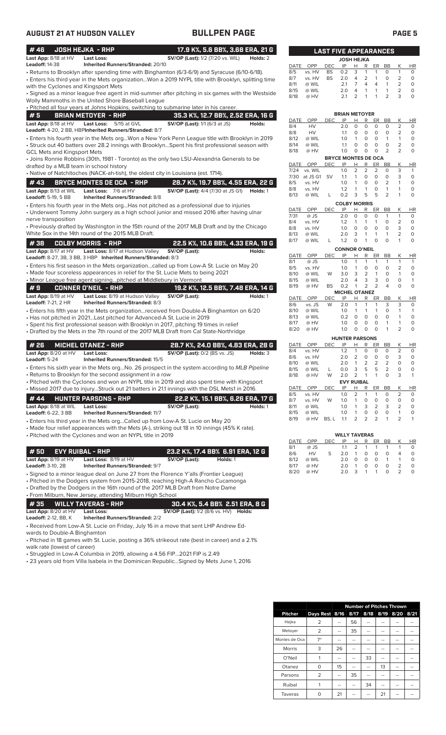| #46                         |                                    | <b>JOSH HEJKA - RHP</b>                                                                                                                                             |                                         |                                                     |  |          | 17.9 K%, 5.6 BB%, 3.68 ERA, 21 G                         |              |                 | <b>LAST FIVE APPEARANCES</b> |                                  |                   |                   |                           |                                |                              |              |
|-----------------------------|------------------------------------|---------------------------------------------------------------------------------------------------------------------------------------------------------------------|-----------------------------------------|-----------------------------------------------------|--|----------|----------------------------------------------------------|--------------|-----------------|------------------------------|----------------------------------|-------------------|-------------------|---------------------------|--------------------------------|------------------------------|--------------|
| <b>Leadoff: 14-38</b>       | Last App: 8/18 at HV               | Last Loss:                                                                                                                                                          | Inherited Runners/Stranded: 20/10       | <b>SV/OP (Last):</b> 1/2 (7/20 vs. WIL)             |  |          | Holds: 2                                                 |              |                 |                              | <b>JOSH HEJKA</b>                |                   |                   |                           |                                |                              |              |
|                             |                                    | · Returns to Brooklyn after spending time with Binghamton (6/3-6/9) and Syracuse (6/10-6/18).                                                                       |                                         |                                                     |  |          |                                                          | DATE<br>8/5  | OPP<br>vs. HV   | <b>DEC</b><br><b>BS</b>      | IP<br>0.2                        | H<br>3            | R<br>1            | ER<br>$\mathbf{1}$        | BB<br>O                        | Κ<br>$\mathbf{1}$            | HI<br>0      |
|                             |                                    | • Enters his third year in the Mets organizationWon a 2019 NYPL title with Brooklyn, splitting time                                                                 |                                         |                                                     |  |          |                                                          | 8/7          | vs. HV          | <b>BS</b>                    | 2.0                              | 4                 | 2                 | $\mathbf{1}$              | O                              | $\overline{2}$               | $\Omega$     |
|                             |                                    | with the Cyclones and Kingsport Mets                                                                                                                                |                                         |                                                     |  |          |                                                          | 8/11         | @ WIL           |                              | 2.1                              | $\overline{7}$    | $\overline{4}$    | $\overline{4}$            | $\mathbf{1}$                   | $\overline{2}$               | $\Omega$     |
|                             |                                    | • Signed as a minor league free agent in mid-summer after pitching in six games with the Westside                                                                   |                                         |                                                     |  |          |                                                          | 8/15         | @ WIL           |                              | 2.0                              | 4                 | 1                 | 1                         | $\mathbf{1}$                   | $\overline{2}$               | 0            |
|                             |                                    | Wolly Mammoths in the United Shore Baseball League                                                                                                                  |                                         |                                                     |  |          |                                                          | 8/18         | @ HV            |                              | 2.1                              | 2                 |                   | $\mathbf{1}$              | $\overline{2}$                 | 3                            | 0            |
|                             |                                    | . Pitched all four years at Johns Hopkins, switching to submarine later in his career.                                                                              |                                         |                                                     |  |          |                                                          |              |                 |                              |                                  |                   |                   |                           |                                |                              |              |
| #5                          |                                    | <b>BRIAN METOYER - RHP</b>                                                                                                                                          |                                         |                                                     |  |          | 35.3 K%, 12.7 BB%, 2.52 ERA, 16 G                        |              |                 |                              | <b>BRIAN METOYER</b>             |                   |                   |                           |                                |                              |              |
|                             | Last App: 8/18 at HV               | <b>Last Loss:</b>                                                                                                                                                   | 5/15 at GVL                             | <b>SV/OP (Last):</b> 1/1 (6/3 at JS)                |  |          | Holds:                                                   | DATE<br>8/4  | OPP             | <b>DEC</b>                   | IP<br>2.0                        | Н<br>$\circ$      | R<br>0            | ER<br>$\circ$             | BB<br>$\circ$                  | Κ<br>2                       | HI<br>0      |
|                             |                                    | Leadoff: 4-20, 2 BB, HBPInherited Runners/Stranded: 8/7                                                                                                             |                                         |                                                     |  |          |                                                          | 8/8          | HV<br>HV        |                              | 1.1                              | 0                 | $\mathbf 0$       | 0                         | $\circ$                        | 2                            | 0            |
|                             |                                    | · Enters his fourth year in the Mets orgWon a New York Penn League title with Brooklyn in 2019                                                                      |                                         |                                                     |  |          |                                                          | 8/12         | @ WIL           |                              | 1.0                              | $\mathbf{1}$      | $\mathbf 0$       | $\circ$                   | $\mathbf{1}$                   | $\mathbf{1}$                 | 0            |
|                             |                                    | • Struck out 40 batters over 28.2 innings with BrooklynSpent his first professional season with                                                                     |                                         |                                                     |  |          |                                                          | 8/14         | @ WIL           |                              | 1.1                              | 0                 | 0                 | 0                         | 0                              | $\overline{2}$               | 0            |
|                             | <b>GCL Mets and Kingsport Mets</b> |                                                                                                                                                                     |                                         |                                                     |  |          |                                                          | 8/18         | @ HV            |                              | 1.0                              | 0                 | 0                 | 0                         | 2                              | 2                            | O            |
|                             |                                    | • Joins Ronnie Robbins (30th, 1981 - Toronto) as the only two LSU-Alexandria Generals to be                                                                         |                                         |                                                     |  |          |                                                          | DATE         | OPP             | <b>DEC</b>                   | <b>BRYCE MONTES DE OCA</b><br>IP | н                 | R                 | ER                        | BB                             | Κ                            | HI           |
|                             |                                    | drafted by a MLB team in school history                                                                                                                             |                                         |                                                     |  |          |                                                          | 7/24         | vs. WIL         |                              | 1.0                              | 2                 | 2                 | 2                         | O                              | 3                            | -1           |
|                             |                                    | • Native of Natchitoches (NACK-ah-tish), the oldest city in Louisiana (est. 1714).                                                                                  |                                         |                                                     |  |          |                                                          | 7/30         | at JS G1        | <b>SV</b>                    | 1.1                              | 1                 | 0                 | $\circ$                   | $\circ$                        | 3                            | 0            |
| #43                         |                                    | <b>BRYCE MONTES DE OCA - RHP</b>                                                                                                                                    |                                         |                                                     |  |          | 28.7 K%, 19.7 BB%, 4.55 ERA, 22 G                        | 8/5          | vs. HV          |                              | 1.0                              | 1                 | 0                 | $\circ$                   | $\overline{2}$                 | 1                            | $\circ$      |
|                             | Last App: 8/13 at WIL              | Last Loss: 7/6 at HV                                                                                                                                                |                                         |                                                     |  |          | <b>SV/OP (Last):</b> 4/4 (7/30 at JS G1) <b>Holds:</b> 1 | 8/8<br>8/13  | vs. HV<br>@ WIL | Г                            | 1.2<br>0.2                       | $\mathbf{1}$<br>3 | 1<br>5            | 0<br>5                    | $\mathbf{1}$<br>$\overline{2}$ | $\mathbf{1}$<br>1            | 0<br>0       |
| <b>Leadoff: 5-19, 5 BB</b>  |                                    |                                                                                                                                                                     | <b>Inherited Runners/Stranded: 8/8</b>  |                                                     |  |          |                                                          |              |                 |                              |                                  |                   |                   |                           |                                |                              |              |
|                             |                                    | • Enters his fourth year in the Mets org Has not pitched as a professional due to injuries                                                                          |                                         |                                                     |  |          |                                                          | DATE         | OPP             | <b>DEC</b>                   | <b>COLBY MORRIS</b><br>IP        | н                 | R                 | ER                        | BB                             | Κ                            | HI           |
|                             |                                    | • Underwent Tommy John surgery as a high school junior and missed 2016 after having ulnar                                                                           |                                         |                                                     |  |          |                                                          | 7/31         | @ JS            |                              | 2.0                              | $\circ$           | 0                 | $\circ$                   | 1                              | $\mathbf{1}$                 | 0            |
|                             | nerve transposition                |                                                                                                                                                                     |                                         |                                                     |  |          |                                                          | 8/4          | vs. HV          |                              | 1.2                              | 1                 | 1                 | 1                         | 0                              | 2                            | 0            |
|                             |                                    | • Previously drafted by Washington in the 15th round of the 2017 MLB Draft and by the Chicago                                                                       |                                         |                                                     |  |          |                                                          | 8/8          | vs. HV          |                              | 1.0                              | $\circ$           | 0                 | $\circ$                   | $\circ$                        | 3                            | $\Omega$     |
|                             |                                    | White Sox in the 14th round of the 2015 MLB Draft.                                                                                                                  |                                         |                                                     |  |          |                                                          | 8/13<br>8/17 | @ WIL<br>@ WIL  | L                            | 2.0<br>1.2                       | 3<br>0            | 1<br>1            | $\mathbf{1}$<br>0         | 1<br>$\circ$                   | 2<br>1                       | 0<br>0       |
| #38                         |                                    | <b>COLBY MORRIS - RHP</b>                                                                                                                                           |                                         |                                                     |  |          | 22.5 K%, 10.6 BB%, 4.33 ERA, 19 G                        |              |                 |                              |                                  |                   |                   |                           |                                |                              |              |
|                             | Last App: 8/17 at HV               |                                                                                                                                                                     | Last Loss: 8/17 at Hudson Valley        | SV/OP (Last):                                       |  |          | Holds:                                                   | DATE         | OPP             | DEC                          | <b>CONNOR O'NEIL</b><br>IP       | Н                 | R                 | ER                        | BB                             | Κ                            | HI           |
|                             |                                    | Leadoff: 8-27, 3B, 3 BB, 3 HBP Inherited Runners/Stranded: 8/3                                                                                                      |                                         |                                                     |  |          |                                                          | 8/1          | @ JS            |                              | 1.0                              | $\mathbf{1}$      | 1                 | $\mathbf{1}$              | 1                              | $\mathbf{1}$                 | 1            |
|                             |                                    | • Enters his first season in the Mets organizationcalled up from Low-A St. Lucie on May 20                                                                          |                                         |                                                     |  |          |                                                          | 8/5          | vs. HV          |                              | 1.0                              | 1                 | $\mathbf 0$       | 0                         | $\circ$                        | 2                            | 0            |
|                             |                                    | • Made four scoreless appearances in relief for the St. Lucie Mets to being 2021                                                                                    |                                         |                                                     |  |          |                                                          | 8/10         | @ WIL           | W                            | 3.0                              | 3                 | $\overline{2}$    | $\mathbf{1}$              | $\circ$                        | $\mathbf{1}$                 | 0            |
|                             |                                    | . Minor League free agent signingpitched at Middlebury in Vermont                                                                                                   |                                         |                                                     |  |          |                                                          | 8/15<br>8/19 | @ WIL<br>@ HV   | BS                           | 2.0<br>0.2                       | 4<br>$\mathbf{1}$ | 3<br>2            | 3<br>$\overline{2}$       | $\circ$<br>4                   | 0<br>$\Omega$                | 0            |
| #9                          |                                    | <b>CONNER O'NEIL - RHP</b>                                                                                                                                          |                                         |                                                     |  |          | 19.2 K%, 12.5 BB%, 7.48 ERA, 14 G                        |              |                 |                              | <b>MICHEL OTANEZ</b>             |                   |                   |                           |                                |                              |              |
|                             | Last App: 8/19 at HV               |                                                                                                                                                                     | Last Loss: 8/19 at Hudson Valley        | SV/OP (Last):                                       |  |          | Holds: 1                                                 | DATE         | OPP             | DEC                          | IP                               | Н                 | R                 | ER                        | BB                             | Κ                            | HI           |
| <b>Leadoff: 7-21, 2 HR</b>  |                                    |                                                                                                                                                                     | Inherited Runners/Stranded: 8/3         |                                                     |  |          |                                                          | 8/6          | vs. JS          | W                            | 2.0                              | $\mathbf{1}$      | 1                 | $\mathbf{1}$              | 3                              | 3                            | 0            |
|                             |                                    | • Enters his fifth year in the Mets organizationreceived from Double-A Binghamton on 6/20<br>• Has not pitched in 2021Last pitched for Advanced-A St. Lucie in 2019 |                                         |                                                     |  |          |                                                          | 8/10<br>8/13 | @ WIL<br>@ WIL  |                              | 1.0<br>0.2                       | 1<br>$\circ$      | 1<br>$\circ$      | $\mathbf{1}$<br>$\circ$   | 0<br>$\circ$                   | $\mathbf{1}$<br>$\mathbf{1}$ | 1<br>O       |
|                             |                                    | • Spent his first professional season with Brooklyn in 2017, pitching 19 times in relief                                                                            |                                         |                                                     |  |          |                                                          | 8/17         | @ HV            |                              | 1.0                              | $\circ$           | $\circ$           | $\circ$                   | $\mathbf{1}$                   | $\mathbf{1}$                 | 0            |
|                             |                                    | • Drafted by the Mets in the 7th round of the 2017 MLB Draft from Cal State-Northridge                                                                              |                                         |                                                     |  |          |                                                          | 8/20         | @ HV            |                              | 1.0                              | $\circ$           | 0                 | $\Omega$                  | 1                              | $\overline{2}$               | O            |
|                             |                                    |                                                                                                                                                                     |                                         |                                                     |  |          |                                                          |              |                 |                              | <b>HUNTER PARSONS</b>            |                   |                   |                           |                                |                              |              |
| #26                         |                                    | <b>MICHEL OTANEZ - RHP</b>                                                                                                                                          |                                         |                                                     |  |          | 28.7 K%, 24.0 BB%, 4.83 ERA, 28 G                        | DATE         | OPP             | <b>DEC</b>                   | IP                               | н                 | R                 | ER                        | BB                             | Κ                            | HI           |
|                             | Last App: 8/20 at HV               | <b>Last Loss:</b>                                                                                                                                                   |                                         | <b>SV/OP (Last):</b> 0/2 (BS vs. JS)                |  |          | Holds: 3                                                 | 8/4          | vs. HV          |                              | 1.2                              | $\mathbf{1}$      | 0                 | 0                         | $\circ$                        | 2                            | 0            |
| Leadoff: 5-24               |                                    |                                                                                                                                                                     | Inherited Runners/Stranded: 15/5        |                                                     |  |          |                                                          | 8/6<br>8/10  | vs. HV<br>@ WIL |                              | 2.0<br>2.0                       | 2<br>$\mathbf{1}$ | $\circ$<br>2      | $\circ$<br>$\overline{2}$ | $\circ$<br>$\overline{2}$      | 3<br>$\circ$                 | $\circ$<br>0 |
|                             |                                    | · Enters his sixth year in the Mets org No. 26 prospect in the system according to MLB Pipeline                                                                     |                                         |                                                     |  |          |                                                          | 8/15         | @ WIL           |                              | 0.0                              | 3                 | 5                 | 5                         | 2                              | $\Omega$                     | 0            |
|                             |                                    | • Returns to Brooklyn for the second assignment in a row                                                                                                            |                                         |                                                     |  |          |                                                          | 8/18         | @ HV            | W                            | 2.0                              | 2                 | $\overline{1}$    | 1                         | 0                              | 3                            | 1            |
|                             |                                    | • Pitched with the Cyclones and won an NYPL title in 2019 and also spent time with Kingsport                                                                        |                                         |                                                     |  |          |                                                          |              |                 |                              | <b>EVY RUIBAL</b>                |                   |                   |                           |                                |                              |              |
|                             |                                    | . Missed 2017 due to injuryStruck out 21 batters in 21.1 innings with the DSL Mets1 in 2016.                                                                        |                                         |                                                     |  |          |                                                          | DATE<br>8/5  | OPP<br>vs. HV   | <b>DEC</b>                   | IP<br>1.0                        | н<br>2            | R<br>1            | ER<br>1                   | BB<br>0                        | Κ<br>$\overline{2}$          | HI<br>0      |
| #44                         |                                    | <b>HUNTER PARSONS - RHP</b>                                                                                                                                         |                                         |                                                     |  |          | 22.2 K%, 15.1 BB%, 6.26 ERA, 17 G                        | 8/7          | vs. HV          | W                            | 1.0                              | 1                 | 0                 | $\mathsf O$               | 0                              | 0                            | 0            |
|                             | Last App: 8/18 at WIL              | <b>Last Loss:</b>                                                                                                                                                   |                                         | SV/OP (Last):                                       |  |          | Holds: 1                                                 | 8/11         | @ WIL           |                              | 1.0                              | 1                 | 3                 | 2                         | 3                              | 2                            | 0            |
| Leadoff: 6-22, 3 BB         |                                    |                                                                                                                                                                     | <b>Inherited Runners/Stranded: 11/7</b> |                                                     |  |          |                                                          | 8/15         | @ WIL           |                              | 1.0                              | 1                 | 0                 | $\mathsf O$               | 0                              | $\mathbf{1}$                 | 0            |
|                             |                                    | • Enters his third year in the Mets orgCalled up from Low-A St. Lucie on May 20                                                                                     |                                         |                                                     |  |          |                                                          | 8/19         | @ HV            | BS, L                        | 1.1                              | 2                 | 2                 | $\overline{2}$            | 1                              | 2                            | 1            |
|                             |                                    | • Made four relief appearances with the Mets (A-), striking out 18 in 10 innings (45% K rate).                                                                      |                                         |                                                     |  |          |                                                          |              |                 |                              |                                  |                   |                   |                           |                                |                              |              |
|                             |                                    | • Pitched with the Cyclones and won an NYPL title in 2019                                                                                                           |                                         |                                                     |  |          |                                                          |              |                 |                              | <b>WILLY TAVERAS</b>             |                   |                   |                           |                                |                              |              |
|                             |                                    |                                                                                                                                                                     |                                         |                                                     |  |          |                                                          | DATE<br>8/1  | OPP<br>@ JS     | DEC                          | IP<br>1.1                        | <u>н</u><br>2     | $\mathsf{R}$<br>1 | ER<br>1                   | BB<br>1                        | Κ<br>$\mathbf{1}$            | H<br>0       |
| #50                         |                                    | <b>EVY RUIBAL - RHP</b>                                                                                                                                             |                                         |                                                     |  |          | 23.2 K%, 17.4 BB% 6.91 ERA, 12 G                         | 8/6          | HV              | S                            | 2.0                              | $\mathbf{1}$      | 0                 | 0                         | 0                              | 4                            | 0            |
|                             | Last App: 8/19 at HV               | Last Loss: 8/19 at HV                                                                                                                                               |                                         | SV/OP (Last):                                       |  | Holds: 1 |                                                          | 8/12         | @ WIL           |                              | 2.0                              | 0                 | 0                 | 0                         | $\mathbf{1}$                   | 1                            | 0            |
| Leadoff: 3-10, 2B           |                                    |                                                                                                                                                                     | <b>Inherited Runners/Stranded: 9/7</b>  |                                                     |  |          |                                                          | 8/17         | @ HV            |                              | 2.0                              | $\mathbf{1}$      | 0                 | 0                         | $\mathsf{O}\xspace$            | $\overline{2}$               | 0            |
|                             |                                    | • Signed to a minor league deal on June 27 from the Florence Y'alls (Frontier League)                                                                               |                                         |                                                     |  |          |                                                          | 8/20         | @ HV            |                              | 2.0                              | 3                 | 1                 | $\mathbf{1}$              | 0                              | $\overline{2}$               | O            |
|                             |                                    | • Pitched in the Dodgers system from 2015-2018, reaching High-A Rancho Cucamonga                                                                                    |                                         |                                                     |  |          |                                                          |              |                 |                              |                                  |                   |                   |                           |                                |                              |              |
|                             |                                    | • Drafted by the Dodgers in the 16th round of the 2017 MLB Draft from Notre Dame                                                                                    |                                         |                                                     |  |          |                                                          |              |                 |                              |                                  |                   |                   |                           |                                |                              |              |
|                             |                                    | • From Milburn, New Jersey, attending Milburn High School                                                                                                           |                                         |                                                     |  |          |                                                          |              |                 |                              |                                  |                   |                   |                           |                                |                              |              |
| #35                         |                                    | <b>WILLY TAVERAS - RHP</b>                                                                                                                                          |                                         |                                                     |  |          | 30.4 K%, 5.4 BB% 2.51 ERA, 8 G                           |              |                 |                              |                                  |                   |                   |                           |                                |                              |              |
|                             | Last App: 8/20 at HV               | Last Loss:                                                                                                                                                          |                                         | <b>SV/OP (Last):</b> 1/2 (8/6 vs. HV) <b>Holds:</b> |  |          |                                                          |              |                 |                              |                                  |                   |                   |                           |                                |                              |              |
| <b>Leadoff:</b> 2-12, BB, K |                                    |                                                                                                                                                                     | <b>Inherited Runners/Stranded: 2/2</b>  |                                                     |  |          |                                                          |              |                 |                              |                                  |                   |                   |                           |                                |                              |              |
|                             |                                    | • Received from Low- $\Delta$ St. Lucie on Friday Luly 16 in a move that sent LHP Andrew Ed-                                                                        |                                         |                                                     |  |          |                                                          |              |                 |                              |                                  |                   |                   |                           |                                |                              |              |

• Received from Low-A St. Lucie on Friday, July 16 in a move that sent LHP Andrew Edwards to Double-A Binghamton

• Pitched in 18 games with St. Lucie, posting a 36% strikeout rate (best in career) and a 2.1% walk rate (lowest of career)

• Struggled in Low-A Columbia in 2019, allowing a 4.56 FIP...2021 FIP is 2.49

• 23 years old from Villa Isabela in the Dominican Republic...Signed by Mets June 1, 2016

|              |                |            | <b>JOSH HEJKA</b>          |                      |                |                |           |                |           |
|--------------|----------------|------------|----------------------------|----------------------|----------------|----------------|-----------|----------------|-----------|
| DATE         | <b>OPP</b>     | DEC        | IP                         | н                    | R              | ER             | <b>BB</b> | Κ              | ΗR        |
| 8/5          | vs. HV         | <b>BS</b>  | 0.2                        | 3                    | 1              | 1              | 0         | 1              | 0         |
| 8/7          | vs. HV         | BS         | 2.0                        | 4                    | 2              | 1              | 0         | 2              | 0         |
| 8/11         | @ WIL          |            | 2.1                        | 7                    | 4              | 4              | 1         | 2              | 0         |
| 8/15         | @ WIL          |            | 2.0                        | 4                    | 1              | 1              | 1         | 2              | 0         |
| 8/18         | @ HV           |            | 2.1                        | $\overline{2}$       | 1              | 1              | 2         | 3              | 0         |
|              |                |            |                            |                      |                |                |           |                |           |
| DATE         | OPP            | DEC        | <b>BRIAN METOYER</b><br>IP | Н                    | R              | ER             | BB        | Κ              | ΗR        |
| 8/4          | HV             |            | 2.0                        | 0                    | O              | 0              | 0         | $\overline{2}$ | 0         |
| 8/8          | HV             |            | 1.1                        | 0                    | 0              | 0              | 0         | 2              | 0         |
| 8/12         | @ WIL          |            | 1.0                        | 1                    | 0              | 0              | 1         | 1              | 0         |
| 8/14         | @ WIL          |            | 1.1                        | 0                    | 0              | 0              | 0         | $\overline{2}$ | 0         |
| 8/18         | @ HV           |            | 1.0                        | 0                    | 0              | 0              | 2         | 2              | 0         |
|              |                |            | <b>BRYCE MONTES DE OCA</b> |                      |                |                |           |                |           |
| DATE         | OPP            | DEC        | IP                         | Н                    | R              | ER             | ВB        | Κ              | ΗR        |
| 7/24         | vs. WIL        |            | 1.0                        | $\overline{2}$       | $\overline{2}$ | 2              | 0         | 3              | 1         |
| 7/30         | at JS G1       | <b>SV</b>  | 1.1                        | 1                    | 0              | 0              | 0         | 3              | 0         |
| 8/5          | vs. HV         |            | 1.0                        | 1                    | 0              | 0              | 2         | 1              | 0         |
| 8/8          | vs. HV         |            | 1.2                        | 1                    | 1              | 0              | 1         | 1              | 0         |
| 8/13         | @ WIL          | L          | 0.2                        | 3                    | 5              | 5              | 2         | 1              | 0         |
|              |                |            | <b>COLBY MORRIS</b>        |                      |                |                |           |                |           |
| DATE         | OPP            | DEC        | IP                         | н                    | R              | ER             | BB        | Κ<br>1         | <b>HR</b> |
| 7/31         | @ JS           |            | 2.0                        | 0                    | 0              | 0              | 1         |                | 0         |
| 8/4          | vs. HV         |            | 1.2                        | 1                    | 1              | 1              | 0         | 2              | 0         |
| 8/8          | vs. HV         |            | 1.0                        | 0                    | 0              | 0              | 0         | 3              | 0         |
| 8/13         | @ WIL          |            | 2.0                        | 3                    | 1              | 1              | 1         | 2              | 0         |
| 8/17         | @ WIL          | L          | 1.2                        | 0                    | 1              | O              | 0         | 1              | 0         |
|              |                |            | <b>CONNOR O'NEIL</b>       |                      |                |                |           |                |           |
| DATE         | OPP            | <b>DEC</b> | IP<br>1.0                  | н<br>1               | R<br>1         | ER<br>1        | BB<br>1   | Κ<br>1         | ΗR<br>1   |
| 8/1<br>8/5   | @ JS<br>vs. HV |            | 1.0                        | 1                    | O              | 0              | 0         | $\overline{2}$ | 0         |
|              | @ WIL          | W          |                            | 3                    | $\overline{2}$ |                | 0         | 1              | 0         |
| 8/10<br>8/15 | @ WIL          |            | 3.0<br>2.0                 | 4                    | 3              | 1<br>3         | 0         | 0              | 1         |
| 8/19         | @ HV           | BS         | 0.2                        | 1                    | $\overline{2}$ | 2              | 4         | 0              | 0         |
|              |                |            | <b>MICHEL OTANEZ</b>       |                      |                |                |           |                |           |
| DATE         | OPP            | DEC        | IP                         | Н                    | R              | ER             | BB        | Κ              | ΗR        |
| 8/6          | vs. JS         | W          | 2.0                        | 1                    | 1              | 1              | 3         | 3              | 0         |
| 8/10         | @ WIL          |            | 1.0                        | 1                    | 1              | 1              | 0         | 1              | 1         |
| 8/13         | @ WIL          |            | 0.2                        | 0                    | 0              | 0              | 0         | 1              | 0         |
| 8/17         | @ HV           |            | 1.0                        | 0                    | 0              | 0              | 1         | 1              | 0         |
| 8/20         | @ HV           |            | 1.0                        | 0                    | 0              | 0              | 1         | $\overline{2}$ | 0         |
|              |                |            | <b>HUNTER PARSONS</b>      |                      |                |                |           |                |           |
| DATE         | <b>OPP</b>     | DEC        | IP                         | Н                    | R              | ER             | <b>BB</b> | Κ              | HR        |
| 8/4          | vs. HV         |            | 1.2                        | 1                    | 0              | 0              | 0         | 2              | 0         |
| 8/6          | vs. HV         |            | 2.0                        | $\overline{2}$       | 0              | 0              | 0         | 3              | 0         |
| 8/10         | @ WIL          |            | 2.0                        | 1                    | $\overline{2}$ | 2              | 2         | 0              | 0         |
| 8/15         | @ WIL          | L          | 0.0                        | 3                    | 5              | 5              | 2         | 0              | 0         |
| 8/18         | @ HV           | W          | 2.0                        | $\overline{2}$       | 1              | 1              | O         | 3              | 1         |
| DATE         | OPP            | DEC        | EV<br>IP                   | <b>/ RUIBAL</b><br>Н | R              | ER             | <b>BB</b> | K              | <u>HR</u> |
| 8/5          | vs. HV         |            | 1.0                        | 2                    | 1              | 1              | 0         | 2              | 0         |
| 8/7          | vs. HV         | W          | 1.0                        | 1                    | 0              | 0              | 0         | 0              | 0         |
| 8/11         | @ WIL          |            | 1.0                        | 1                    | 3              | 2              | 3         | 2              | 0         |
| 8/15         | @ WIL          |            | 1.0                        | 1                    | 0              | 0              | 0         | 1              | 0         |
| 8/19         | @ HV           | BS, L      | 1.1                        | $\overline{2}$       | 2              | $\overline{2}$ | 1         | $\overline{2}$ | 1         |
|              |                |            |                            |                      |                |                |           |                |           |
|              |                |            | <b>WILLY TAVERAS</b>       |                      |                |                |           |                |           |
| DATE         | OPP            | <b>DEC</b> | IP                         | H                    | R              | <u>ER</u>      | <b>BB</b> | Κ              | HR        |
| 8/1          | @ JS           |            | 1.1                        | 2                    | 1              | 1              | 1         | 1              | 0         |
| 8/6          | HV             | S          | 2.0                        | 1                    | 0              | 0              | 0         | 4              | 0         |

|                | <b>Number of Pitches Thrown</b> |    |    |    |    |                          |    |  |  |  |  |
|----------------|---------------------------------|----|----|----|----|--------------------------|----|--|--|--|--|
| <b>Pitcher</b> | Days Rest 8/16                  |    |    |    |    | 8/17 8/18 8/19 8/20 8/21 |    |  |  |  |  |
| Hejka          | 2                               |    | 56 |    |    |                          |    |  |  |  |  |
| Metoyer        | 2                               |    | 35 |    |    |                          |    |  |  |  |  |
| Montes de Oca  | $7^*$                           | -- | -- |    | -- |                          | -- |  |  |  |  |
| Morris         | 3                               | 26 | -- |    |    | --                       | -- |  |  |  |  |
| O'Neil         |                                 | -- | -- | 33 | -- | --                       | -- |  |  |  |  |
| Otanez         | O                               | 15 | -- |    | 13 |                          | -- |  |  |  |  |
| Parsons        | 2                               | -- | 35 | -- |    |                          |    |  |  |  |  |
| Ruibal         |                                 |    |    | 34 |    |                          |    |  |  |  |  |
| Taveras        | O                               | 21 |    |    | 21 |                          |    |  |  |  |  |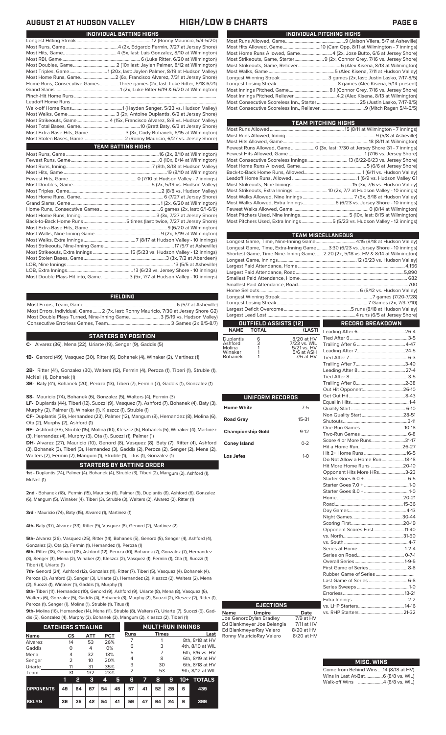| INDIVIDUAL PITCHING HIGHS |                                                                           |  |  |  |  |  |  |  |
|---------------------------|---------------------------------------------------------------------------|--|--|--|--|--|--|--|
|                           |                                                                           |  |  |  |  |  |  |  |
|                           |                                                                           |  |  |  |  |  |  |  |
|                           | Most Home Runs Allowed, Game 4 (2x, Jose Butto, 6/6 at Jersey Shore)      |  |  |  |  |  |  |  |
|                           | Most Strikeouts, Game, Starter 9 (2x, Connor Grey, 7/16 vs. Jersey Shore) |  |  |  |  |  |  |  |
|                           |                                                                           |  |  |  |  |  |  |  |
|                           |                                                                           |  |  |  |  |  |  |  |
|                           |                                                                           |  |  |  |  |  |  |  |
|                           |                                                                           |  |  |  |  |  |  |  |
|                           |                                                                           |  |  |  |  |  |  |  |
|                           |                                                                           |  |  |  |  |  |  |  |
|                           |                                                                           |  |  |  |  |  |  |  |
|                           |                                                                           |  |  |  |  |  |  |  |

| TEAM PITCHING HIGHS                                                                   |  |
|---------------------------------------------------------------------------------------|--|
|                                                                                       |  |
|                                                                                       |  |
|                                                                                       |  |
| Fewest Runs Allowed, Game  0 (3x, last: 7/30 at Jersey Shore G1 - 7 innings)          |  |
|                                                                                       |  |
|                                                                                       |  |
|                                                                                       |  |
|                                                                                       |  |
|                                                                                       |  |
| Most Strikeouts, Nine Innings …………………………………………………………………15 (3x, 7/6 vs. Hudson Valley) |  |
| Most Strikeouts, Extra Innings  10 (2x, 7/7 at Hudson Valley - 10 innings)            |  |
|                                                                                       |  |
|                                                                                       |  |
|                                                                                       |  |
|                                                                                       |  |
| Most Pitchers Used, Extra Innings 5 (5/23 vs. Hudson Valley - 12 innings)             |  |
|                                                                                       |  |

| <b>TEAM MISCELLANEOUS</b>                                                          |  |
|------------------------------------------------------------------------------------|--|
|                                                                                    |  |
| Longest Game, Time, Extra-Inning Game3:30 (6/23 vs. Jersey Shore - 10 innings)     |  |
| Shortest Game, Time Nine-Inning Game.  2:20 (2x, 5/18 vs. HV & 8/14 at Wilmington) |  |
|                                                                                    |  |
|                                                                                    |  |
|                                                                                    |  |
|                                                                                    |  |
|                                                                                    |  |
|                                                                                    |  |
|                                                                                    |  |
|                                                                                    |  |
|                                                                                    |  |
|                                                                                    |  |

### **OUTFIELD ASSISTS (12) NAME TOTAL (LAST)**

| Duplantis | 6 | 8/20 at HV      |
|-----------|---|-----------------|
| Ashford   | 3 | 7/23 vs. WIL    |
| Molina    |   | $5/21$ vs. $HV$ |
| Winaker   |   | 5/6 at ASH      |
| Bohanek   |   | $7/6$ at HV     |
|           |   |                 |

|                          |           | C                                                                    |
|--------------------------|-----------|----------------------------------------------------------------------|
| UNIFORM RECORDS          |           | G<br>E                                                               |
| <b>Home White</b>        | $7 - 5$   | C                                                                    |
| <b>Road Gray</b>         | $15 - 31$ | Ņ<br>S                                                               |
| <b>Championship Gold</b> | $9-12$    | $\overline{C}$<br>Ţ                                                  |
| <b>Coney Island</b>      | $0 - 2$   | S<br>H                                                               |
| Los Jefes                | $1-0$     | ŀ<br>С<br>ŀ<br>C CO CO<br>$\mathsf{H}$<br>F<br>D<br>Ņ<br>S<br>C<br>V |
|                          |           | V<br>c                                                               |

|                | RECORD BREAKDOWN              |  |
|----------------|-------------------------------|--|
| AST)           |                               |  |
| t HV           |                               |  |
| . WIL          |                               |  |
| : H\<br>ASH    |                               |  |
| t HV           |                               |  |
|                |                               |  |
|                |                               |  |
|                |                               |  |
|                |                               |  |
|                |                               |  |
|                |                               |  |
|                |                               |  |
| 5              |                               |  |
|                |                               |  |
| $^{11}$        |                               |  |
| $\overline{c}$ |                               |  |
|                |                               |  |
| $\overline{a}$ | Score 4 or More Runs31-17     |  |
|                |                               |  |
| Ď              |                               |  |
|                | Do Not Allow a Home Run 18-18 |  |
|                | Hit More Home Runs 20-10      |  |
|                | Opponent Hits More HRs3-23    |  |
|                |                               |  |
|                |                               |  |
|                |                               |  |
|                |                               |  |
|                |                               |  |
|                |                               |  |
|                |                               |  |
|                |                               |  |
|                | Opponent Scores First 11-40   |  |
|                |                               |  |
|                |                               |  |
|                |                               |  |

### **MISC. WINS**

| the company of the company of |                                        |
|-------------------------------|----------------------------------------|
|                               | Come from Behind Wins  14 (8/18 at HV) |
|                               | Wins in Last At-Bat 6 (8/8 vs. WIL)    |
|                               | Walk-off Wins 4 (8/8 vs. WIL)          |
|                               |                                        |

Series on Road........................................ 0-7-1 Overall Series..........................................1-9-5

Rubber Game of Series ................................. Last Game of Series .................................6-8 Series Sweeps ............................................1-0 Errorless....................................................13-21

vs. LHP Starters.......................................14-16

First Game of Series

Extra Innings.

vs. RHP Starters ...

### **AUGUST 21 AT HUDSON VALLEY HIGH/LOW & CHARTS PAGE 6**

| INDIVIDUAL BATTING HIGHS                                                    |
|-----------------------------------------------------------------------------|
|                                                                             |
|                                                                             |
|                                                                             |
|                                                                             |
|                                                                             |
| Most Triples, Game1 (20x, last: Jaylen Palmer, 8/19 at Hudson Valley)       |
|                                                                             |
| Home Runs, Consecutive Games Three games (2x, last: Luke Ritter, 6/18-6/21) |
|                                                                             |
|                                                                             |
|                                                                             |
|                                                                             |
|                                                                             |
| Most Strikeouts, Game4 (15x, Francisco Alvarez, 8/8 vs. Hudson Valley)      |
|                                                                             |
| Most Extra-Base Hits, Game 3 (3x, Cody Bohanek, 6/15 at Wilmington)         |
|                                                                             |
| <b>TEAM BATTING HIGHS</b>                                                   |
|                                                                             |
|                                                                             |
|                                                                             |
|                                                                             |
|                                                                             |
|                                                                             |
|                                                                             |
|                                                                             |
|                                                                             |
|                                                                             |
|                                                                             |
|                                                                             |
|                                                                             |
|                                                                             |
|                                                                             |
|                                                                             |
|                                                                             |
|                                                                             |
|                                                                             |
|                                                                             |

**FIELDING**

Most Double Plays Hit into, Game........................3 (5x, 7/7 at Hudson Valley - 10 innings)

Most Errors, Team, Game...............................................................................6 (5/7 at Asheville) Most Errors, Individual, Game....... 2 (7x, last: Ronny Mauricio, 7/30 at Jersey Shore G2) Most Double Plays Turned, Nine-Inning Game.......................... 3 (5/19 vs. Hudson Valley) Consecutive Errorless Games, Team.

### **STARTERS BY POSITION**

**C-** Alvarez (36), Mena (22), Uriarte (19), Senger (9), Gaddis (5)

**1B-** Genord (49), Vasquez (30), Ritter (6), Bohanek (4), Winaker (2), Martinez (1)

**2B-** Ritter (41), Gonzalez (30), Walters (12), Fermin (4), Peroza (1), Tiberi (1), Struble (1), McNeil (1), Bohanek (1)

**3B-** Baty (41), Bohanek (20), Peroza (13), Tiberi (7), Fermin (7), Gaddis (1), Gonzalez (1)

**SS-** Mauricio (74), Bohanek (6), Gonzalez (5), Walters (4), Fermin (3)

**LF-** Duplantis (44), Tiberi (12), Suozzi (9), Vasquez (7), Ashford (7), Bohanek (4), Baty (3), Murphy (2), Palmer (1), Winaker (1), Kleszcz (1), Struble (1)

**CF-** Duplantis (39), Hernandez (23), Palmer (12), Mangum (8), Hernandez (8), Molina (6), Ota (2), Murphy (2), Ashford (1)

**RF-** Ashford (38), Struble (15), Molina (10), Kleszcz (6), Bohanek (5), Winaker (4), Martinez (3), Hernandez (4), Murphy (3), Ota (1), Suozzi (1), Palmer (1)

**DH-** Alvarez (27), Mauricio (10), Genord (8), Vasquez (8), Baty (7), Ritter (4), Ashford (3), Bohanek (3), Tiberi (3), Hernandez (3), Gaddis (2), Peroza (2), Senger (2), Mena (2), Walters (2), Fermin (2), Mangum (1), Struble (1), Titus (1), Gonzalez (1)

### **STARTERS BY BATTING ORDER**

**1st -** Duplantis (74), Palmer (4). Bohanek (4), Struble (3), Tiberi (2), Mangum (2), Ashford (1), McNeil (1)

**2nd -** Bohanek (18), Fermin (15), Mauricio (11), Palmer (9), Duplantis (8), Ashford (6), Gonzalez (6), Mangum (5), Winaker (4), Tiberi (3), Struble (3), Walters (2), Alvarez (2), Ritter (1)

**3rd -** Mauricio (74), Baty (15), Alvarez (1), Martinez (1)

**4th-** Baty (37), Alvarez (33), Ritter (9), Vasquez (8), Genord (2), Martinez (2)

**5th-** Alvarez (26), Vasquez (25), Ritter (14), Bohanek (5), Genord (5), Senger (4), Ashford (4), Gonzalez (3), Ota (2), Fermin (1), Hernandez (1), Peroza (1)

**6th-** Ritter (18), Genord (18), Ashford (12), Peroza (10), Bohanek (7), Gonzalez (7), Hernandez (3), Senger (3), Mena (2), Winaker (2), Kleszcz (2), Vasquez (1), Fermin (1), Ota (1), Suozzi (1) Tiberi (1), Uriarte (1)

7th- Genord (24), Ashford (12), Gonzalez (11), Ritter (7), Tiberi (5), Vasquez (4), Bohanek (4), Peroza (3), Ashford (3), Senger (3), Uriarte (3), Hernandez (2), Kleszcz (2), Walters (2), Mena (2), Suozzi (1), Winaker (1), Gaddis (1), Murphy (1)

**8th-** Tiberi (11), Hernandez (10), Genord (9), Ashford (9), Uriarte (8), Mena (8), Vasquez (6), Walters (6), Gonzalez (5), Gaddis (4), Bohanek (3), Murphy (2), Suozzi (2), Kleszcz (2), Ritter (1), Peroza (1), Senger (1), Molina (1), Struble (1), Titus (1)

**9th-** Molina (16), Hernandez (14), Mena (11), Struble (8), Walters (7), Uriarte (7), Suozzi (6), Gad-

dis (5), Gonzalez (4), Murphy (3), Bohanek (3), Mangum (2), Kleszcz (2), Tiberi (1)

| <b>CATCHERS STEALING</b> |                |    |     |            | <b>MULTI-RUN INNINGS</b> |                             |    |    |      |       |                  |
|--------------------------|----------------|----|-----|------------|--------------------------|-----------------------------|----|----|------|-------|------------------|
| <b>Name</b>              | CS             |    | ATT | <b>PCT</b> |                          | <b>Times</b><br><b>Runs</b> |    |    | Last |       |                  |
| Alvarez                  | 14             |    | 53  | 26%        |                          |                             |    |    |      |       | 8th, 8/18 at HV  |
| Gaddis                   | Ω              |    | 4   | 0%         |                          | 6                           |    | 3  |      |       | 4th, 8/10 at WIL |
| Mena                     | 4              |    | 32  | 13%        |                          | 5                           |    |    |      |       | 6th, 8/6 vs. HV  |
| Senger                   | $\overline{2}$ |    | 10  | 20%        |                          | 4                           |    | 8  |      |       | 6th, 8/19 at HV  |
| Uriarte                  | 11             |    | 31  | 35%        |                          | 3                           |    | 30 |      |       | 6th, 8/18 at HV  |
| Team                     | 31             |    | 132 | 23%        |                          | フ                           |    | 53 |      |       | 9th, 8/12 at WIL |
|                          | 11             | 2  | з   | 4          | 5                        | 6                           | 7  | 8  | 9    | $10+$ | <b>TOTALS</b>    |
| <b>OPPONENTS</b>         | 49             | 64 | 67  | 54         | 45                       | 57                          | 41 | 52 | 28   | 6     | 439              |

**BKLYN 39 35 42 54 41 59 47 64 24 6 399**

|      | <b>EJECTIONS</b>        |                          |
|------|-------------------------|--------------------------|
| Name | <b>Umpire</b>           | Date                     |
|      | Joo ConordDulan Pradlou | $7/\Omega \rightarrow L$ |

Joe GenordDylan Bradley 7/9 at HV Ed Blankmeyer Joe Belangia 7/11 at HV Ed BlankmeyerRay Valero 8/20 at HV<br>Ronny MauricioRay Valero 8/20 at HV Ronny MauricioRay Valero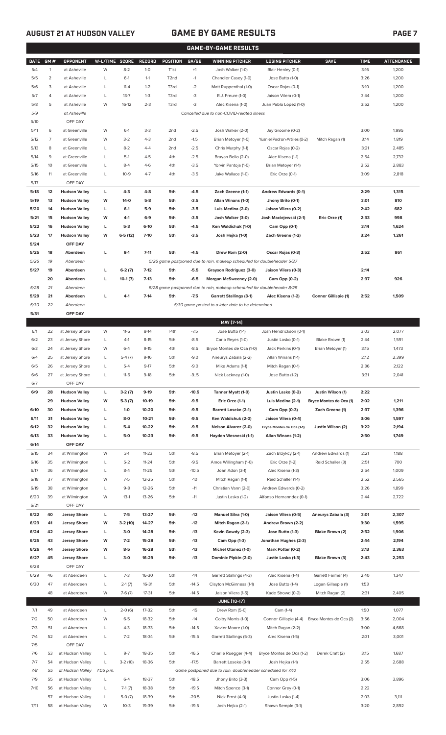### **AUGUST 21 AT HUDSON VALLEY GAME BY GAME RESULTS PAGE 7**

|             | <b>GAME-BY-GAME RESULTS</b> |                      |                |           |               |                  |         |                                                                         |                               |                             |             |                   |
|-------------|-----------------------------|----------------------|----------------|-----------|---------------|------------------|---------|-------------------------------------------------------------------------|-------------------------------|-----------------------------|-------------|-------------------|
| <b>DATE</b> | GM#                         | OPPONENT             | W-L/TIME SCORE |           | <b>RECORD</b> | POSITION         | GA/GB   | <b>WINNING PITCHER</b>                                                  | <b>LOSING PITCHER</b>         | <b>SAVE</b>                 | <b>TIME</b> | <b>ATTENDANCE</b> |
| 5/4         | $\mathbf{1}$                | at Asheville         | W              | $8 - 2$   | $1 - 0$       | T <sub>1st</sub> | $+1$    | Josh Walker (1-0)                                                       | Blair Henley (0-1)            |                             | 3:16        | 1,200             |
| 5/5         | $\overline{2}$              | at Asheville         | L              | $6-1$     | $1 - 1$       | T2nd             | $-1$    | Chandler Casey (1-0)                                                    | Jose Butto (1-0)              |                             | 3:26        | 1,200             |
| 5/6         | 3                           | at Asheville         | L              | $11 - 4$  | $1 - 2$       | T3rd             | $-2$    | Matt Ruppenthal (1-0)                                                   | Oscar Rojas (0-1)             |                             | 3:10        | 1,200             |
| 5/7         | 4                           | at Asheville         | L              | $13 - 7$  | $1 - 3$       | T3rd             | -3      | R.J. Freure (1-0)                                                       | Jaison Vilera (0-1)           |                             | 3:44        | 1,200             |
| 5/8         | 5                           | at Asheville         | W              | $16-12$   | $2 - 3$       | T3rd             | $-3$    | Alec Kisena (1-0)                                                       | Juan Pablo Lopez (1-0)        |                             | 3:52        | 1,200             |
| 5/9         |                             | at Asheville         |                |           |               |                  |         | Cancelled due to non-COVID-related illness                              |                               |                             |             |                   |
| 5/10        |                             | OFF DAY              |                |           |               |                  |         |                                                                         |                               |                             |             |                   |
| 5/11        | 6                           | at Greenville        | W              | $6-1$     | $3-3$         | 2 <sub>nd</sub>  | $-2.5$  | Josh Walker (2-0)                                                       | Jay Groome (0-2)              |                             | 3:00        | 1,995             |
| 5/12        | 7                           | at Greenville        | W              | $3-2$     | $4 - 3$       | 2 <sub>nd</sub>  | $-1.5$  | Brian Metoyer (1-0)                                                     | Yusniel Padron-Artilles (0-2) | Mitch Ragan (1)             | 3:14        | 1,819             |
| 5/13        | 8                           | at Greenville        | L              | $8 - 2$   | $4 - 4$       | 2 <sub>nd</sub>  | $-2.5$  | Chris Murphy (1-1)                                                      | Oscar Rojas (0-2)             |                             | 3:21        | 2,485             |
| 5/14        | 9                           | at Greenville        | L              | $5-1$     | $4 - 5$       | 4th              | $-2.5$  | Brayan Bello (2-0)                                                      | Alec Kisena (1-1)             |                             | 2:54        | 2,732             |
| 5/15        | 10                          | at Greenville        | L              | $8 - 4$   | $4-6$         | 4th              | $-3.5$  | Yorvin Pantoja (1-0)                                                    | Brian Metoyer (1-1)           |                             | 2:52        | 2,883             |
| 5/16        | 11                          | at Greenville        | L              | $10 - 9$  | $4 - 7$       | 4th              | $-3.5$  | Jake Wallace (1-0)                                                      | Eric Orze (0-1)               |                             | 3:09        | 2,818             |
| 5/17        |                             | OFF DAY              |                |           |               |                  |         |                                                                         |                               |                             |             |                   |
| 5/18        | 12                          | <b>Hudson Valley</b> | L              | $4-3$     | $4-8$         | 5th              | $-4.5$  | Zach Greene (1-1)                                                       | Andrew Edwards (0-1)          |                             | 2:29        | 1,315             |
| 5/19        | 13                          | <b>Hudson Valley</b> | W              | $14-0$    | $5-8$         | 5th              | $-3.5$  | Allan Winans (1-0)                                                      | Jhony Brito (0-1)             |                             | 3:01        | 810               |
| 5/20        | 14                          | <b>Hudson Valley</b> | L              | $6-1$     | $5-9$         | 5th              | $-3.5$  | Luis Medina (2-0)                                                       | Jaison Vilera (0-2)           |                             | 2:42        | 682               |
| 5/21        | 15                          | <b>Hudson Valley</b> | W              | $4-1$     | $6-9$         | 5th              | $-3.5$  | Josh Walker (3-0)                                                       | Josh Maciejewski (2-1)        | Eric Orze (1)               | 2:33        | 998               |
| 5/22        | 16                          | <b>Hudson Valley</b> | г              | $5-3$     | $6-10$        | 5th              | $-4.5$  | Ken Waldichuk (1-0)                                                     | Cam Opp (0-1)                 |                             | 3:14        | 1,624             |
| 5/23        | 17                          | <b>Hudson Valley</b> | W              | $6-5(12)$ | $7-10$        | 5th              | $-3.5$  | Josh Hejka (1-0)                                                        | Zach Greene (1-2)             |                             | 3:24        | 1,261             |
| 5/24        |                             | OFF DAY              |                |           |               |                  |         |                                                                         |                               |                             |             |                   |
| 5/25        | 18                          | Aberdeen             | L              | $8-1$     | $7 - 11$      | 5th              | $-4.5$  | Drew Rom (2-0)                                                          | Oscar Rojas (0-3)             |                             | 2:52        | 861               |
| 5/26        | 19                          | Aberdeen             |                |           |               |                  |         | 5/26 game postponed due to rain, makeup scheduled for doubleheader 5/27 |                               |                             |             |                   |
| 5/27        | 19                          | Aberdeen             | г              | $6-2(7)$  | $7-12$        | 5th              | $-5.5$  | Grayson Rodriguez (3-0)                                                 | Jaison Vilera (0-3)           |                             | 2:14        |                   |
|             | 20                          | Aberdeen             | г              | $10-1(7)$ | $7-13$        | 5th              | $-6.5$  | Morgan McSweeney (2-0)                                                  | Cam Opp (0-2)                 |                             | 2:37        | 926               |
| 5/28        | 21                          | Aberdeen             |                |           |               |                  |         | 5/28 game postponed due to rain, makeup scheduled for doubleheader 8/25 |                               |                             |             |                   |
| 5/29        | 21                          | Aberdeen             | L              | $4-1$     | $7-14$        | 5th              | $-7.5$  | <b>Garrett Stallings (3-1)</b>                                          | Alec Kisena (1-2)             | <b>Connor Gillispie (1)</b> | 2:52        | 1,509             |
| 5/30        | 22                          | Aberdeen             |                |           |               |                  |         | 5/30 game posted to a later date to be determined                       |                               |                             |             |                   |
| 5/31        |                             | OFF DAY              |                |           |               |                  |         |                                                                         |                               |                             |             |                   |
|             |                             |                      |                |           |               |                  |         | MAY [7-14]                                                              |                               |                             |             |                   |
| 6/1         | 22                          | at Jersey Shore      | W              | $11 - 5$  | $8-14$        | T4th             | $-7.5$  | Jose Butto (1-1)                                                        | Josh Hendrickson (0-1)        |                             | 3:03        | 2,077             |
| 6/2         | 23                          | at Jersey Shore      | L              | $4-1$     | $8 - 15$      | 5th              | $-8.5$  | Carlo Reyes (1-0)                                                       | Justin Lasko (0-1)            | Blake Brown (1)             | 2:44        | 1,591             |
| 6/3         | 24                          | at Jersey Shore      | W              | $6 - 4$   | $9 - 15$      | 4th              | $-8.5$  | Bryce Montes de Oca (1-0)                                               | Jack Perkins (0-1)            | Brian Metoyer (1)           | 3:15        | 1,473             |
| 6/4         | 25                          | at Jersey Shore      | L              | $5-4(7)$  | $9-16$        | 5th              | $-9.0$  | Aneurys Zabala (2-2)                                                    | Allan Winans (1-1)            |                             | 2:12        | 2,399             |
| 6/5         | 26                          | at Jersey Shore      | L              | $5 - 4$   | $9 - 17$      | 5th              | $-9.0$  | Mike Adams (1-1)                                                        | Mitch Ragan (0-1)             |                             | 2:36        | 2,122             |
| 6/6         | 27                          | at Jersey Shore      | L              | $11-6$    | $9-18$        | 5th              | $-9.5$  | Nick Lackney (1-0)                                                      | Jose Butto (1-2)              |                             | 3:31        | 2,041             |
| 6/7         |                             | OFF DAY              |                |           |               |                  |         |                                                                         |                               |                             |             |                   |
| 6/9         | 28                          | <b>Hudson Valley</b> | L              | $3-2(7)$  | $9-19$        | 5th              | $-10.5$ | Tanner Myatt (1-0)                                                      | Justin Lasko (0-2)            | Justin Wilson (1)           | 2:22        |                   |
|             | 29                          | <b>Hudson Valley</b> | W              | $5-3(7)$  | 10-19         | 5th              | $-9.5$  | Eric Orze (1-1)                                                         | Luis Medina (2-1)             | Bryce Montes de Oca (1)     | 2:02        | 1,211             |
| 6/10        | 30                          | <b>Hudson Valley</b> | L              | $1-0$     | 10-20         | 5th              | $-9.5$  | <b>Barrett Loseke (2-1)</b>                                             | Cam Opp (0-3)                 | Zach Greene (1)             | 2:37        | 1,396             |
| 6/11        | 31                          | <b>Hudson Valley</b> | г              | $8-0$     | $10 - 21$     | 5th              | $-9.5$  | Ken Waldichuk (2-0)                                                     | Jaison Vilera (0-4)           |                             | 3:06        | 1,597             |
| 6/12        | 32                          | <b>Hudson Valley</b> | L              | $5-4$     | 10-22         | 5th              | $-9.5$  | Nelson Alvarez (2-0)                                                    | Bryce Montes de Oca (1-1)     | Justin Wilson (2)           | 3:22        | 2,194             |
| 6/13        | 33                          | <b>Hudson Valley</b> | L              | $5-0$     | $10 - 23$     | 5th              | $-9.5$  | Hayden Wesneski (1-1)                                                   | Allan Winans (1-2)            |                             | 2:50        | 1,749             |
| 6/14        |                             | OFF DAY              |                |           |               |                  |         |                                                                         |                               |                             |             |                   |
| 6/15        | 34                          | at Wilmington        | W              | $3-1$     | $11 - 23$     | 5th              | $-8.5$  | Brian Metoyer (2-1)                                                     | Zach Brzykcy (2-1)            | Andrew Edwards (1)          | 2:21        | 1,188             |
| 6/16        | 35                          | at Wilmington        | L              | $5 - 2$   | $11 - 24$     | 5th              | $-9.5$  | Amos Willingham (1-0)                                                   | Eric Orze (1-2)               | Reid Schaller (3)           | 2:51        | 700               |
| 6/17        | 36                          | at Wilmington        | L              | $8 - 4$   | $11 - 25$     | 5th              | $-10.5$ | Joan Adon (3-1)                                                         | Alec Kisena (1-3)             |                             | 2:54        | 1,009             |
| 6/18        | 37                          | at Wilmington        | W              | $7 - 5$   | $12 - 25$     | 5th              | $-10$   | Mitch Ragan (1-1)                                                       | Reid Schaller (1-1)           |                             | 2:52        | 2,565             |
| 6/19        | 38                          | at Wilmington        | L              | $9 - 8$   | $12 - 26$     | 5th              | $-11$   | Christian Vann (2-0)                                                    | Andrew Edwards (0-2)          |                             | 3:26        | 1,899             |
| 6/20        | 39                          | at Wilmington        | W              | $13-1$    | 13-26         | 5th              | $-11$   | Justin Lasko (1-2)                                                      | Alfonso Hernanndez (0-1)      |                             | 2:44        | 2,722             |
| 6/21        |                             | OFF DAY              |                |           |               |                  |         |                                                                         |                               |                             |             |                   |
| 6/22        | 40                          | <b>Jersey Shore</b>  | L              | $7-5$     | 13-27         | 5th              | -12     | <b>Manuel Silva (1-0)</b>                                               | Jaison Vilera (0-5)           | Aneurys Zabala (3)          | 3:01        | 2,307             |
| 6/23        | 41                          | <b>Jersey Shore</b>  | W              | $3-2(10)$ | 14-27         | 5th              | -12     | Mitch Ragan (2-1)                                                       | Andrew Brown (2-2)            |                             | 3:30        | 1,595             |
| 6/24        | 42                          | <b>Jersey Shore</b>  | L              | $3-0$     | 14-28         | 5th              | -13     | Kevin Gowdy (2-3)                                                       | Jose Butto (1-3)              | Blake Brown (2)             | 2:52        | 1,906             |
| 6/25        | 43                          | <b>Jersey Shore</b>  | W              | $7-2$     | 15-28         | 5th              | -13     | Cam Opp (1-3)                                                           | Jonathan Hughes (2-3)         |                             | 2:44        | 2,194             |
| 6/26        | 44                          | <b>Jersey Shore</b>  | W              | $8-5$     | 16-28         | 5th              | -13     | Michel Otanez (1-0)                                                     | Mark Potter (0-2)             |                             | 3:13        | 2,363             |
| 6/27        | 45                          | <b>Jersey Shore</b>  | L              | $3-0$     | 16-29         | 5th              | -13     | Dominic Pipkin (2-0)                                                    | Justin Lasko (1-3)            | Blake Brown (3)             | 2:43        | 2,253             |
| 6/28        |                             | OFF DAY              |                |           |               |                  |         |                                                                         |                               |                             |             |                   |
| 6/29        | 46                          | at Aberdeen          | L              | $7-3$     | 16-30         | 5th              | $-14$   | Garrett Stallings (4-3)                                                 | Alec Kisena (1-4)             | Garrett Farmer (4)          | 2:40        | 1,347             |
| 6/30        | 47                          | at Aberdeen          | L              | $2-1(7)$  | 16-31         | 5th              | $-14.5$ | Clayton McGinness (1-1)                                                 | Jose Butto (1-4)              | Logan Gillaspie (1)         | 1:53        |                   |
|             | 48                          | at Aberdeen          | W              | $7-6(7)$  | $17 - 31$     | 5th              | $-14.5$ | Jaison Vilera (1-5)                                                     | Kade Strowd (0-2)             | Mitch Ragan (2)             | 2:31        | 2,405             |
|             |                             |                      |                |           |               |                  |         | <b>JUNE (10-17)</b>                                                     |                               |                             |             |                   |
| 7/1         | 49                          | at Aberdeen          | L              | $2-0(6)$  | 17-32         | 5th              | $-15$   | Drew Rom (5-0)                                                          | Cam (1-4)                     |                             | 1:50        | 1,077             |
| 7/2         | 50                          | at Aberdeen          | W              | $6 - 5$   | 18-32         | 5th              | $-14$   | Colby Morris (1-0)                                                      | Connor Gillispie (4-4)        | Bryce Montes de Oca (2)     | 3:56        | 2,004             |
| 7/3         | 51                          | at Aberdeen          | L              | $4 - 3$   | 18-33         | 5th              | $-14.5$ | Xavier Moore (1-0)                                                      | Mitch Ragan (2-2)             |                             | 3:00        | 4,668             |
| 7/4         | 52                          | at Aberdeen          | L              | $7 - 2$   | 18-34         | 5th              | $-15.5$ | Garrett Stallings (5-3)                                                 | Alec Kisena (1-5)             |                             | 2:31        | 3,001             |
| 7/5         |                             | OFF DAY              |                |           |               |                  |         |                                                                         |                               |                             |             |                   |
| 7/6         | 53                          | at Hudson Valley     | L              | $9 - 7$   | 18-35         | 5th              | $-16.5$ | Charlie Ruegger (4-4)                                                   | Bryce Montes de Oca (1-2)     | Derek Craft (2)             | 3:15        | 1,687             |
| 7/7         | 54                          | at Hudson Valley     | L              | $3-2(10)$ | 18-36         | 5th              | $-17.5$ | Barrett Loseke (3-1)                                                    | Josh Hejka (1-1)              |                             | 2:55        | 2,688             |
| 7/8         | 55                          | at Hudson Valley     | 7:05 p.m.      |           |               |                  |         | Game postponed due to rain, doubleheader scheduled for 7/10             |                               |                             |             |                   |
| 7/9         | 55                          | at Hudson Valley     | L              | $6 - 4$   | 18-37         | 5th              | $-18.5$ | Jhony Brito (3-3)                                                       | Cam Opp (1-5)                 |                             | 3:06        | 3,896             |
| 7/10        | 56                          | at Hudson Valley     | L              | $7-1(7)$  | 18-38         | 5th              | $-19.5$ | Mitch Spence (3-1)                                                      | Connor Grey (0-1)             |                             | 2:22        |                   |
|             | 57                          | at Hudson Valley     | L              | $5-0(7)$  | 18-39         | 5th              | $-20.5$ | Nick Ernst (4-0)                                                        | Justin Lasko (1-4)            |                             | 2:03        | 3,111             |

7/11 58 at Hudson Valley W 10-3 19-39 5th -19.5 Josh Hejka (2-1) Shawn Semple (3-1) 3:20 2,892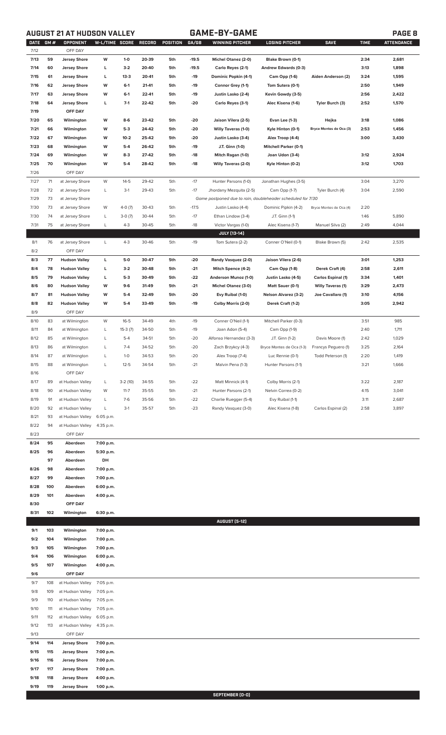# **AUGUST 21 AT HUDSON VALLEY GAME-BY-GAME PAGE 8**

|--|

| <b>DATE</b><br>7/12 | <b>GM#</b> | <b>OPPONENT</b><br>OFF DAY | W-L/TIME SCORE |           | <b>RECORD</b> | POSITION | GA/GB   | WINNING PITCHER                                             | <b>LOSING PITCHER</b>        | <b>SAVE</b>               | <b>TIME</b> | <b>ATTENDANCE</b> |
|---------------------|------------|----------------------------|----------------|-----------|---------------|----------|---------|-------------------------------------------------------------|------------------------------|---------------------------|-------------|-------------------|
| 7/13                | 59         |                            | W              | $1-0$     | 20-39         | 5th      | $-19.5$ |                                                             |                              |                           | 2:34        | 2,681             |
| 7/14                | 60         | <b>Jersey Shore</b>        | L              | $3-2$     | 20-40         | 5th      | $-19.5$ | Michel Otanez (2-0)                                         | Blake Brown (0-1)            |                           | 3:13        | 1,898             |
|                     | 61         | <b>Jersey Shore</b>        | L              | $13-3$    | 20-41         | 5th      |         | Carlo Reyes (2-1)                                           | Andrew Edwards (0-3)         |                           | 3:24        |                   |
| 7/15                |            | <b>Jersey Shore</b>        |                |           |               |          | $-19$   | Dominic Popkin (4-1)                                        | Cam Opp (1-6)                | Aiden Anderson (2)        |             | 1,595             |
| 7/16                | 62         | <b>Jersey Shore</b>        | W              | $6-1$     | 21-41         | 5th      | $-19$   | Connor Grey (1-1)                                           | Tom Sutera (0-1)             |                           | 2:50        | 1,949             |
| 7/17                | 63         | <b>Jersey Shore</b>        | W              | $6-1$     | 22-41         | 5th      | $-19$   | Justin Lasko (2-4)                                          | Kevin Gowdy (3-5)            |                           | 2:56        | 2,422             |
| 7/18                | 64         | <b>Jersey Shore</b>        | L              | $7-1$     | 22-42         | 5th      | $-20$   | Carlo Reyes (3-1)                                           | Alec Kisena (1-6)            | Tyler Burch (3)           | 2:52        | 1,570             |
| 7/19                |            | OFF DAY                    |                |           |               |          |         |                                                             |                              |                           |             |                   |
| 7/20                | 65         | Wilmington                 | W              | $8-6$     | 23-42         | 5th      | $-20$   | Jaison Vilera (2-5)                                         | Evan Lee (1-3)               | Hejka                     | 3:18        | 1,086             |
| 7/21                | 66         | Wilmington                 | W              | $5-3$     | 24-42         | 5th      | $-20$   | <b>Willy Taveras (1-0)</b>                                  | Kyle Hinton (0-1)            | Bryce Montes de Oca (3)   | 2:53        | 1,456             |
| 7/22                | 67         | Wilmington                 | W              | $10-2$    | 25-42         | 5th      | $-20$   | Justin Lasko (3-4)                                          | Alex Troop (4-4)             |                           | 3:00        | 3,430             |
| 7/23                | 68         | Wilmington                 | W              | $5-4$     | 26-42         | 5th      | $-19$   | J.T. Ginn (1-0)                                             | <b>Mitchell Parker (0-1)</b> |                           |             |                   |
| 7/24                | 69         | Wilmington                 | W              | $8-3$     | 27-42         | 5th      | $-18$   | Mitch Ragan (1-0)                                           | Joan Udon (3-4)              |                           | 3:12        | 2,924             |
| 7/25                | 70         | Wilmington                 | W              | $5-4$     | 28-42         | 5th      | $-18$   | <b>Willy Taveras (2-0)</b>                                  | Kyle Hinton (0-2)            |                           | 3:12        | 1,703             |
| 7/26                |            | OFF DAY                    |                |           |               |          |         |                                                             |                              |                           |             |                   |
| 7/27                | 71         | at Jersey Shore            | W              | $14 - 5$  | 29-42         | 5th      | $-17$   | Hunter Parsons (1-0)                                        | Jonathan Hughes (3-5)        |                           | 3:04        | 3,270             |
| 7/28                | 72         | at Jersey Shore            | L              | $3-1$     | 29-43         | 5th      | $-17$   | Jhordany Mezquita (2-5)                                     | Cam Opp (1-7)                | Tyler Burch (4)           | 3:04        | 2,590             |
| 7/29                | 73         | at Jersey Shore            |                |           |               |          |         | Game postponed due to rain, doubleheader scheduled for 7/30 |                              |                           |             |                   |
| 7/30                | 73         | at Jersey Shore            | W              | $4-0(7)$  | 30-43         | 5th      | $-17.5$ | Justin Lasko (4-4)                                          | Dominic Pipkin (4-2)         | Bryce Montes de Oca (4)   | 2:20        |                   |
| 7/30                | 74         | at Jersey Shore            | L              | $3-0(7)$  | 30-44         | 5th      | $-17$   | Ethan Lindow (3-4)                                          | J.T. Ginn (1-1)              |                           | 1:46        | 5,890             |
| 7/31                | 75         | at Jersey Shore            | L              | $4 - 3$   | 30-45         | 5th      | $-18$   | Victor Vargas (1-0)                                         | Alec Kisena (1-7)            | Manuel Silva (2)          | 2:49        | 4,044             |
|                     |            |                            |                |           |               |          |         | <b>JULY [13-14]</b>                                         |                              |                           |             |                   |
| 8/1                 | 76         | at Jersey Shore            | L              | $4 - 3$   | 30-46         | 5th      | $-19$   | Tom Sutera (2-2)                                            | Conner O'Neil (0-1)          | Blake Brown (5)           | 2:42        | 2,535             |
| 8/2                 |            | OFF DAY                    |                |           |               |          |         |                                                             |                              |                           |             |                   |
| 8/3                 | 77         | <b>Hudson Valley</b>       | L              | 5-0       | 30-47         | 5th      | $-20$   | Randy Vasquez (2-0)                                         | Jaison Vilera (2-6)          |                           | 3:01        | 1,253             |
| 8/4                 | 78         | <b>Hudson Valley</b>       | L              | $3-2$     | 30-48         | 5th      | $-21$   | Mitch Spence (4-2)                                          | Cam Opp (1-8)                | Derek Craft (4)           | 2:58        | 2,611             |
| 8/5                 | 79         | <b>Hudson Valley</b>       | L              | $5-3$     | 30-49         | 5th      | $-22$   | Anderson Munoz (1-0)                                        | Justin Lasko (4-5)           | <b>Carlos Espinal (1)</b> | 3:34        | 1,401             |
| 8/6                 | 80         | <b>Hudson Valley</b>       | W              | $9-6$     | 31-49         | 5th      | $-21$   | <b>Michel Otanez (3-0)</b>                                  | Matt Sauer (0-1)             | <b>Willy Taveras (1)</b>  | 3:29        | 2,473             |
| 8/7                 | 81         | <b>Hudson Valley</b>       | W              | $5-4$     | 32-49         | 5th      | $-20$   | Evy Ruibal (1-0)                                            | <b>Nelson Alvarez (3-2)</b>  | Joe Cavallaro (1)         | 3:10        | 4,156             |
| 8/8                 | 82         | <b>Hudson Valley</b>       | W              | $5-4$     | 33-49         | 5th      | $-19$   | Colby Morris (2-0)                                          | Derek Craft (1-2)            |                           | 3:05        | 2,942             |
| 8/9                 |            | OFF DAY                    |                |           |               |          |         |                                                             |                              |                           |             |                   |
| 8/10                | 83         | at Wilmington              | W              | $16 - 5$  | 34-49         | 4th      | $-19$   | Conner O'Neil (1-1)                                         | Mitchell Parker (0-3)        |                           | 3:51        | 985               |
| 8/11                | 84         | at Wilmington              | L              | $15-3(7)$ | 34-50         | 5th      | $-19$   | Joan Adon (5-4)                                             | Cam Opp (1-9)                |                           | 2:40        | 1,711             |
| 8/12                | 85         |                            | L              | $5 - 4$   | 34-51         | 5th      | $-20$   | Alfonso Hernandez (3-3)                                     |                              |                           | 2:42        | 1,029             |
|                     |            | at Wilmington              |                |           |               |          |         |                                                             | J.T. Ginn (1-2)              | Davis Moore (1)           |             |                   |
| 8/13                | 86         | at Wilmington              | L              | $7 - 4$   | 34-52         | 5th      | $-20$   | Zach Brzykcy (4-3)                                          | Bryce Montes de Oca (1-3)    | Francys Peguero (1)       | 3:25        | 2,164             |
| 8/14                | 87         | at Wilmington              | L              | $1-0$     | 34-53         | 5th      | $-20$   | Alex Troop (7-4)                                            | Luc Rennie (0-1)             | Todd Peterson (1)         | 2:20        | 1,419             |
| 8/15                | 88         | at Wilmington              | L              | $12 - 5$  | 34-54         | 5th      | $-21$   | Malvin Pena (1-3)                                           | Hunter Parsons (1-1)         |                           | 3:21        | 1,666             |
| 8/16                |            | OFF DAY                    |                |           |               |          |         |                                                             |                              |                           |             |                   |
| 8/17                | 89         | at Hudson Valley           | L              | $3-2(10)$ | 34-55         | 5th      | $-22$   | Matt Minnick (4-1)                                          | Colby Morris (2-1)           |                           | 3:22        | 2,187             |
| 8/18                | 90         | at Hudson Valley           | W              | $11 - 7$  | 35-55         | 5th      | $-21$   | Hunter Parsons (2-1)                                        | Nelvin Correa (0-2)          |                           | 4:15        | 3,041             |
| 8/19                | 91         | at Hudson Valley           | L              | $7-6$     | 35-56         | 5th      | $-22$   | Charlie Ruegger (5-4)                                       | Evy Ruibal (1-1)             |                           | 3:11        | 2,687             |
| 8/20                | 92         | at Hudson Valley           | L              | $3-1$     | 35-57         | 5th      | $-23$   | Randy Vasquez (3-0)                                         | Alec Kisena (1-8)            | Carlos Espinal (2)        | 2:58        | 3,897             |
| 8/21                | 93         | at Hudson Valley           | 6:05 p.m.      |           |               |          |         |                                                             |                              |                           |             |                   |
| 8/22                | 94         | at Hudson Valley           | 4:35 p.m.      |           |               |          |         |                                                             |                              |                           |             |                   |
| 8/23                |            | OFF DAY                    |                |           |               |          |         |                                                             |                              |                           |             |                   |
| 8/24                | 95         | Aberdeen                   | 7:00 p.m.      |           |               |          |         |                                                             |                              |                           |             |                   |
| 8/25                | 96         | Aberdeen                   | 5:30 p.m.      |           |               |          |         |                                                             |                              |                           |             |                   |
|                     | 97         | Aberdeen                   | DH             |           |               |          |         |                                                             |                              |                           |             |                   |
| 8/26                | 98         | Aberdeen                   | 7:00 p.m.      |           |               |          |         |                                                             |                              |                           |             |                   |
| 8/27                | 99         | Aberdeen                   | 7:00 p.m.      |           |               |          |         |                                                             |                              |                           |             |                   |
| 8/28                | 100        | Aberdeen                   | 6:00 p.m.      |           |               |          |         |                                                             |                              |                           |             |                   |
| 8/29                | 101        | Aberdeen                   | 4:00 p.m.      |           |               |          |         |                                                             |                              |                           |             |                   |
| 8/30                |            | OFF DAY                    |                |           |               |          |         |                                                             |                              |                           |             |                   |
| 8/31                | 102        | Wilmington                 | 6:30 p.m.      |           |               |          |         |                                                             |                              |                           |             |                   |
|                     |            |                            |                |           |               |          |         | <b>AUGUST [5-12]</b>                                        |                              |                           |             |                   |
| 9/1                 | 103        | Wilmington                 | 7:00 p.m.      |           |               |          |         |                                                             |                              |                           |             |                   |
| 9/2                 | 104        | Wilmington                 | 7:00 p.m.      |           |               |          |         |                                                             |                              |                           |             |                   |
| 9/3                 | 105        | Wilmington                 | 7:00 p.m.      |           |               |          |         |                                                             |                              |                           |             |                   |
|                     |            |                            |                |           |               |          |         |                                                             |                              |                           |             |                   |
| 9/4                 | 106        | Wilmington                 | 6:00 p.m.      |           |               |          |         |                                                             |                              |                           |             |                   |
| 9/5                 | 107        | Wilmington                 | 4:00 p.m.      |           |               |          |         |                                                             |                              |                           |             |                   |
| 9/6                 |            | OFF DAY                    |                |           |               |          |         |                                                             |                              |                           |             |                   |
| 9/7                 | 108        | at Hudson Valley           | 7:05 p.m.      |           |               |          |         |                                                             |                              |                           |             |                   |
| 9/8                 | 109        | at Hudson Valley           | 7:05 p.m.      |           |               |          |         |                                                             |                              |                           |             |                   |
| 9/9                 | 110        | at Hudson Valley           | 7:05 p.m.      |           |               |          |         |                                                             |                              |                           |             |                   |
| 9/10                | 111        | at Hudson Valley           | 7:05 p.m.      |           |               |          |         |                                                             |                              |                           |             |                   |
| 9/11                | 112        | at Hudson Valley           | 6:05 p.m.      |           |               |          |         |                                                             |                              |                           |             |                   |
| 9/12                | 113        | at Hudson Valley           | 4:35 p.m.      |           |               |          |         |                                                             |                              |                           |             |                   |
| 9/13                |            | OFF DAY                    |                |           |               |          |         |                                                             |                              |                           |             |                   |
| 9/14                | 114        | <b>Jersey Shore</b>        | 7:00 p.m.      |           |               |          |         |                                                             |                              |                           |             |                   |
| 9/15                | 115        | <b>Jersey Shore</b>        | 7:00 p.m.      |           |               |          |         |                                                             |                              |                           |             |                   |
| 9/16                | 116        | <b>Jersey Shore</b>        | 7:00 p.m.      |           |               |          |         |                                                             |                              |                           |             |                   |
| 9/17                | 117        | <b>Jersey Shore</b>        | 7:00 p.m.      |           |               |          |         |                                                             |                              |                           |             |                   |
| 9/18                | 118        | <b>Jersey Shore</b>        | 4:00 p.m.      |           |               |          |         |                                                             |                              |                           |             |                   |
| 9/19                | 119        | <b>Jersey Shore</b>        | 1:00 p.m.      |           |               |          |         |                                                             |                              |                           |             |                   |
|                     |            |                            |                |           |               |          |         | SEPTEMBER [0-0]                                             |                              |                           |             |                   |